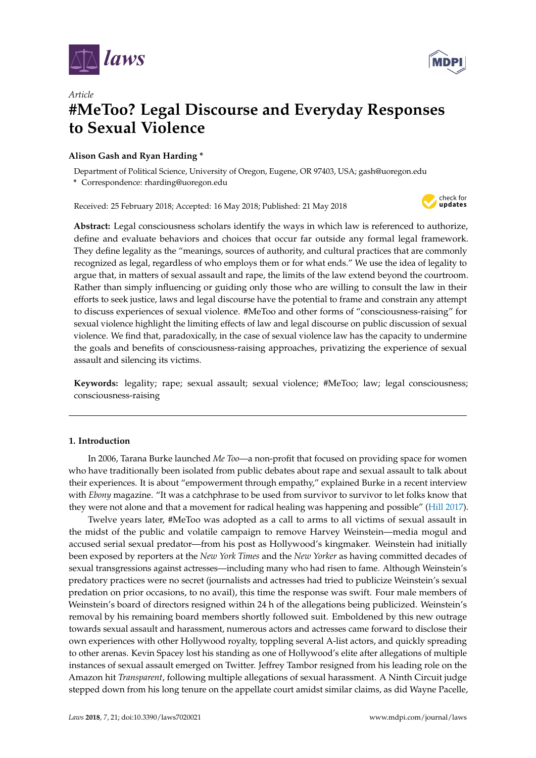



# *Article* **#MeToo? Legal Discourse and Everyday Responses to Sexual Violence**

# **Alison Gash and Ryan Harding \***

Department of Political Science, University of Oregon, Eugene, OR 97403, USA; gash@uoregon.edu

**\*** Correspondence: rharding@uoregon.edu

Received: 25 February 2018; Accepted: 16 May 2018; Published: 21 May 2018



**Abstract:** Legal consciousness scholars identify the ways in which law is referenced to authorize, define and evaluate behaviors and choices that occur far outside any formal legal framework. They define legality as the "meanings, sources of authority, and cultural practices that are commonly recognized as legal, regardless of who employs them or for what ends." We use the idea of legality to argue that, in matters of sexual assault and rape, the limits of the law extend beyond the courtroom. Rather than simply influencing or guiding only those who are willing to consult the law in their efforts to seek justice, laws and legal discourse have the potential to frame and constrain any attempt to discuss experiences of sexual violence. #MeToo and other forms of "consciousness-raising" for sexual violence highlight the limiting effects of law and legal discourse on public discussion of sexual violence. We find that, paradoxically, in the case of sexual violence law has the capacity to undermine the goals and benefits of consciousness-raising approaches, privatizing the experience of sexual assault and silencing its victims.

**Keywords:** legality; rape; sexual assault; sexual violence; #MeToo; law; legal consciousness; consciousness-raising

# **1. Introduction**

In 2006, Tarana Burke launched *Me Too*—a non-profit that focused on providing space for women who have traditionally been isolated from public debates about rape and sexual assault to talk about their experiences. It is about "empowerment through empathy," explained Burke in a recent interview with *Ebony* magazine. "It was a catchphrase to be used from survivor to survivor to let folks know that they were not alone and that a movement for radical healing was happening and possible" [\(Hill](#page-22-0) [2017\)](#page-22-0).

Twelve years later, #MeToo was adopted as a call to arms to all victims of sexual assault in the midst of the public and volatile campaign to remove Harvey Weinstein—media mogul and accused serial sexual predator—from his post as Hollywood's kingmaker. Weinstein had initially been exposed by reporters at the *New York Times* and the *New Yorker* as having committed decades of sexual transgressions against actresses—including many who had risen to fame. Although Weinstein's predatory practices were no secret (journalists and actresses had tried to publicize Weinstein's sexual predation on prior occasions, to no avail), this time the response was swift. Four male members of Weinstein's board of directors resigned within 24 h of the allegations being publicized. Weinstein's removal by his remaining board members shortly followed suit. Emboldened by this new outrage towards sexual assault and harassment, numerous actors and actresses came forward to disclose their own experiences with other Hollywood royalty, toppling several A-list actors, and quickly spreading to other arenas. Kevin Spacey lost his standing as one of Hollywood's elite after allegations of multiple instances of sexual assault emerged on Twitter. Jeffrey Tambor resigned from his leading role on the Amazon hit *Transparent*, following multiple allegations of sexual harassment. A Ninth Circuit judge stepped down from his long tenure on the appellate court amidst similar claims, as did Wayne Pacelle,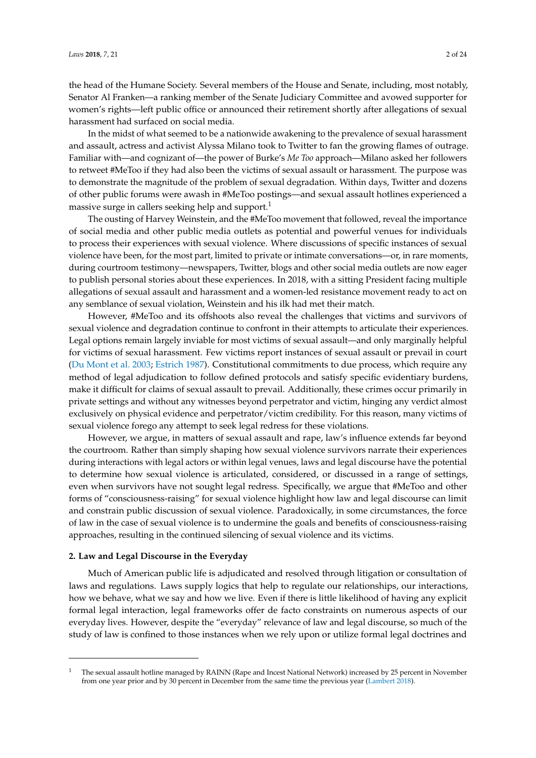the head of the Humane Society. Several members of the House and Senate, including, most notably, Senator Al Franken—a ranking member of the Senate Judiciary Committee and avowed supporter for women's rights—left public office or announced their retirement shortly after allegations of sexual harassment had surfaced on social media.

In the midst of what seemed to be a nationwide awakening to the prevalence of sexual harassment and assault, actress and activist Alyssa Milano took to Twitter to fan the growing flames of outrage. Familiar with—and cognizant of—the power of Burke's *Me Too* approach—Milano asked her followers to retweet #MeToo if they had also been the victims of sexual assault or harassment. The purpose was to demonstrate the magnitude of the problem of sexual degradation. Within days, Twitter and dozens of other public forums were awash in #MeToo postings—and sexual assault hotlines experienced a massive surge in callers seeking help and support.<sup>1</sup>

The ousting of Harvey Weinstein, and the #MeToo movement that followed, reveal the importance of social media and other public media outlets as potential and powerful venues for individuals to process their experiences with sexual violence. Where discussions of specific instances of sexual violence have been, for the most part, limited to private or intimate conversations—or, in rare moments, during courtroom testimony—newspapers, Twitter, blogs and other social media outlets are now eager to publish personal stories about these experiences. In 2018, with a sitting President facing multiple allegations of sexual assault and harassment and a women-led resistance movement ready to act on any semblance of sexual violation, Weinstein and his ilk had met their match.

However, #MeToo and its offshoots also reveal the challenges that victims and survivors of sexual violence and degradation continue to confront in their attempts to articulate their experiences. Legal options remain largely inviable for most victims of sexual assault—and only marginally helpful for victims of sexual harassment. Few victims report instances of sexual assault or prevail in court [\(Du Mont et al.](#page-21-0) [2003;](#page-21-0) [Estrich](#page-21-1) [1987\)](#page-21-1). Constitutional commitments to due process, which require any method of legal adjudication to follow defined protocols and satisfy specific evidentiary burdens, make it difficult for claims of sexual assault to prevail. Additionally, these crimes occur primarily in private settings and without any witnesses beyond perpetrator and victim, hinging any verdict almost exclusively on physical evidence and perpetrator/victim credibility. For this reason, many victims of sexual violence forego any attempt to seek legal redress for these violations.

However, we argue, in matters of sexual assault and rape, law's influence extends far beyond the courtroom. Rather than simply shaping how sexual violence survivors narrate their experiences during interactions with legal actors or within legal venues, laws and legal discourse have the potential to determine how sexual violence is articulated, considered, or discussed in a range of settings, even when survivors have not sought legal redress. Specifically, we argue that #MeToo and other forms of "consciousness-raising" for sexual violence highlight how law and legal discourse can limit and constrain public discussion of sexual violence. Paradoxically, in some circumstances, the force of law in the case of sexual violence is to undermine the goals and benefits of consciousness-raising approaches, resulting in the continued silencing of sexual violence and its victims.

#### **2. Law and Legal Discourse in the Everyday**

Much of American public life is adjudicated and resolved through litigation or consultation of laws and regulations. Laws supply logics that help to regulate our relationships, our interactions, how we behave, what we say and how we live. Even if there is little likelihood of having any explicit formal legal interaction, legal frameworks offer de facto constraints on numerous aspects of our everyday lives. However, despite the "everyday" relevance of law and legal discourse, so much of the study of law is confined to those instances when we rely upon or utilize formal legal doctrines and

<sup>1</sup> The sexual assault hotline managed by RAINN (Rape and Incest National Network) increased by 25 percent in November from one year prior and by 30 percent in December from the same time the previous year [\(Lambert](#page-22-1) [2018\)](#page-22-1).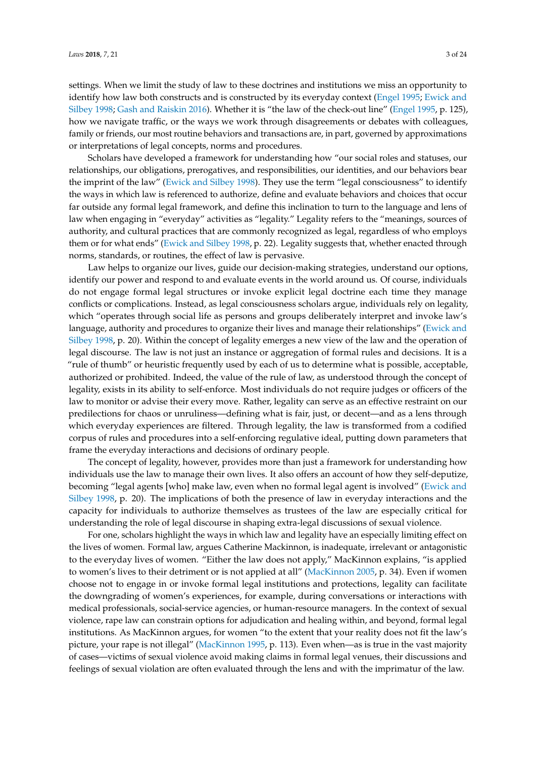settings. When we limit the study of law to these doctrines and institutions we miss an opportunity to identify how law both constructs and is constructed by its everyday context [\(Engel](#page-21-2) [1995;](#page-21-2) [Ewick and](#page-21-3) [Silbey](#page-21-3) [1998;](#page-21-3) [Gash and Raiskin](#page-22-2) [2016\)](#page-22-2). Whether it is "the law of the check-out line" [\(Engel](#page-21-2) [1995,](#page-21-2) p. 125), how we navigate traffic, or the ways we work through disagreements or debates with colleagues, family or friends, our most routine behaviors and transactions are, in part, governed by approximations or interpretations of legal concepts, norms and procedures.

Scholars have developed a framework for understanding how "our social roles and statuses, our relationships, our obligations, prerogatives, and responsibilities, our identities, and our behaviors bear the imprint of the law" [\(Ewick and Silbey](#page-21-3) [1998\)](#page-21-3). They use the term "legal consciousness" to identify the ways in which law is referenced to authorize, define and evaluate behaviors and choices that occur far outside any formal legal framework, and define this inclination to turn to the language and lens of law when engaging in "everyday" activities as "legality." Legality refers to the "meanings, sources of authority, and cultural practices that are commonly recognized as legal, regardless of who employs them or for what ends" [\(Ewick and Silbey](#page-21-3) [1998,](#page-21-3) p. 22). Legality suggests that, whether enacted through norms, standards, or routines, the effect of law is pervasive.

Law helps to organize our lives, guide our decision-making strategies, understand our options, identify our power and respond to and evaluate events in the world around us. Of course, individuals do not engage formal legal structures or invoke explicit legal doctrine each time they manage conflicts or complications. Instead, as legal consciousness scholars argue, individuals rely on legality, which "operates through social life as persons and groups deliberately interpret and invoke law's language, authority and procedures to organize their lives and manage their relationships" [\(Ewick and](#page-21-3) [Silbey](#page-21-3) [1998,](#page-21-3) p. 20). Within the concept of legality emerges a new view of the law and the operation of legal discourse. The law is not just an instance or aggregation of formal rules and decisions. It is a "rule of thumb" or heuristic frequently used by each of us to determine what is possible, acceptable, authorized or prohibited. Indeed, the value of the rule of law, as understood through the concept of legality, exists in its ability to self-enforce. Most individuals do not require judges or officers of the law to monitor or advise their every move. Rather, legality can serve as an effective restraint on our predilections for chaos or unruliness—defining what is fair, just, or decent—and as a lens through which everyday experiences are filtered. Through legality, the law is transformed from a codified corpus of rules and procedures into a self-enforcing regulative ideal, putting down parameters that frame the everyday interactions and decisions of ordinary people.

The concept of legality, however, provides more than just a framework for understanding how individuals use the law to manage their own lives. It also offers an account of how they self-deputize, becoming "legal agents [who] make law, even when no formal legal agent is involved" [\(Ewick and](#page-21-3) [Silbey](#page-21-3) [1998,](#page-21-3) p. 20). The implications of both the presence of law in everyday interactions and the capacity for individuals to authorize themselves as trustees of the law are especially critical for understanding the role of legal discourse in shaping extra-legal discussions of sexual violence.

For one, scholars highlight the ways in which law and legality have an especially limiting effect on the lives of women. Formal law, argues Catherine Mackinnon, is inadequate, irrelevant or antagonistic to the everyday lives of women. "Either the law does not apply," MacKinnon explains, "is applied to women's lives to their detriment or is not applied at all" [\(MacKinnon](#page-22-3) [2005,](#page-22-3) p. 34). Even if women choose not to engage in or invoke formal legal institutions and protections, legality can facilitate the downgrading of women's experiences, for example, during conversations or interactions with medical professionals, social-service agencies, or human-resource managers. In the context of sexual violence, rape law can constrain options for adjudication and healing within, and beyond, formal legal institutions. As MacKinnon argues, for women "to the extent that your reality does not fit the law's picture, your rape is not illegal" [\(MacKinnon](#page-22-4) [1995,](#page-22-4) p. 113). Even when—as is true in the vast majority of cases—victims of sexual violence avoid making claims in formal legal venues, their discussions and feelings of sexual violation are often evaluated through the lens and with the imprimatur of the law.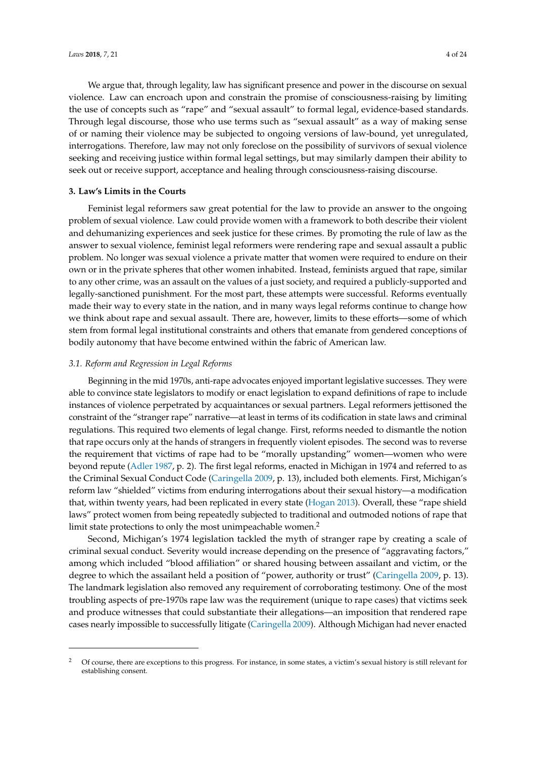We argue that, through legality, law has significant presence and power in the discourse on sexual violence. Law can encroach upon and constrain the promise of consciousness-raising by limiting the use of concepts such as "rape" and "sexual assault" to formal legal, evidence-based standards. Through legal discourse, those who use terms such as "sexual assault" as a way of making sense of or naming their violence may be subjected to ongoing versions of law-bound, yet unregulated, interrogations. Therefore, law may not only foreclose on the possibility of survivors of sexual violence seeking and receiving justice within formal legal settings, but may similarly dampen their ability to seek out or receive support, acceptance and healing through consciousness-raising discourse.

## **3. Law's Limits in the Courts**

Feminist legal reformers saw great potential for the law to provide an answer to the ongoing problem of sexual violence. Law could provide women with a framework to both describe their violent and dehumanizing experiences and seek justice for these crimes. By promoting the rule of law as the answer to sexual violence, feminist legal reformers were rendering rape and sexual assault a public problem. No longer was sexual violence a private matter that women were required to endure on their own or in the private spheres that other women inhabited. Instead, feminists argued that rape, similar to any other crime, was an assault on the values of a just society, and required a publicly-supported and legally-sanctioned punishment. For the most part, these attempts were successful. Reforms eventually made their way to every state in the nation, and in many ways legal reforms continue to change how we think about rape and sexual assault. There are, however, limits to these efforts—some of which stem from formal legal institutional constraints and others that emanate from gendered conceptions of bodily autonomy that have become entwined within the fabric of American law.

## *3.1. Reform and Regression in Legal Reforms*

Beginning in the mid 1970s, anti-rape advocates enjoyed important legislative successes. They were able to convince state legislators to modify or enact legislation to expand definitions of rape to include instances of violence perpetrated by acquaintances or sexual partners. Legal reformers jettisoned the constraint of the "stranger rape" narrative—at least in terms of its codification in state laws and criminal regulations. This required two elements of legal change. First, reforms needed to dismantle the notion that rape occurs only at the hands of strangers in frequently violent episodes. The second was to reverse the requirement that victims of rape had to be "morally upstanding" women—women who were beyond repute [\(Adler](#page-21-4) [1987,](#page-21-4) p. 2). The first legal reforms, enacted in Michigan in 1974 and referred to as the Criminal Sexual Conduct Code [\(Caringella](#page-21-5) [2009,](#page-21-5) p. 13), included both elements. First, Michigan's reform law "shielded" victims from enduring interrogations about their sexual history—a modification that, within twenty years, had been replicated in every state [\(Hogan](#page-22-5) [2013\)](#page-22-5). Overall, these "rape shield laws" protect women from being repeatedly subjected to traditional and outmoded notions of rape that limit state protections to only the most unimpeachable women.<sup>2</sup>

Second, Michigan's 1974 legislation tackled the myth of stranger rape by creating a scale of criminal sexual conduct. Severity would increase depending on the presence of "aggravating factors," among which included "blood affiliation" or shared housing between assailant and victim, or the degree to which the assailant held a position of "power, authority or trust" [\(Caringella](#page-21-5) [2009,](#page-21-5) p. 13). The landmark legislation also removed any requirement of corroborating testimony. One of the most troubling aspects of pre-1970s rape law was the requirement (unique to rape cases) that victims seek and produce witnesses that could substantiate their allegations—an imposition that rendered rape cases nearly impossible to successfully litigate [\(Caringella](#page-21-5) [2009\)](#page-21-5). Although Michigan had never enacted

<sup>2</sup> Of course, there are exceptions to this progress. For instance, in some states, a victim's sexual history is still relevant for establishing consent.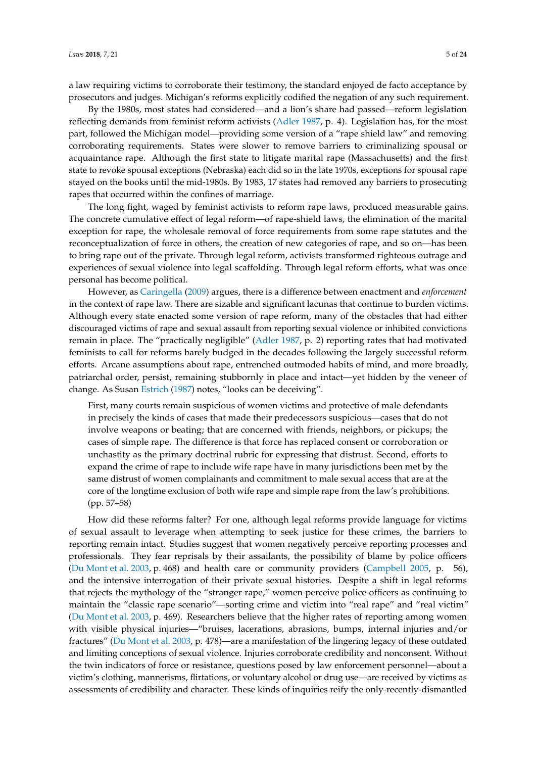a law requiring victims to corroborate their testimony, the standard enjoyed de facto acceptance by prosecutors and judges. Michigan's reforms explicitly codified the negation of any such requirement.

By the 1980s, most states had considered—and a lion's share had passed—reform legislation reflecting demands from feminist reform activists [\(Adler](#page-21-4) [1987,](#page-21-4) p. 4). Legislation has, for the most part, followed the Michigan model—providing some version of a "rape shield law" and removing corroborating requirements. States were slower to remove barriers to criminalizing spousal or acquaintance rape. Although the first state to litigate marital rape (Massachusetts) and the first state to revoke spousal exceptions (Nebraska) each did so in the late 1970s, exceptions for spousal rape stayed on the books until the mid-1980s. By 1983, 17 states had removed any barriers to prosecuting rapes that occurred within the confines of marriage.

The long fight, waged by feminist activists to reform rape laws, produced measurable gains. The concrete cumulative effect of legal reform—of rape-shield laws, the elimination of the marital exception for rape, the wholesale removal of force requirements from some rape statutes and the reconceptualization of force in others, the creation of new categories of rape, and so on—has been to bring rape out of the private. Through legal reform, activists transformed righteous outrage and experiences of sexual violence into legal scaffolding. Through legal reform efforts, what was once personal has become political.

However, as [Caringella](#page-21-5) [\(2009\)](#page-21-5) argues, there is a difference between enactment and *enforcement* in the context of rape law. There are sizable and significant lacunas that continue to burden victims. Although every state enacted some version of rape reform, many of the obstacles that had either discouraged victims of rape and sexual assault from reporting sexual violence or inhibited convictions remain in place. The "practically negligible" [\(Adler](#page-21-4) [1987,](#page-21-4) p. 2) reporting rates that had motivated feminists to call for reforms barely budged in the decades following the largely successful reform efforts. Arcane assumptions about rape, entrenched outmoded habits of mind, and more broadly, patriarchal order, persist, remaining stubbornly in place and intact—yet hidden by the veneer of change. As Susan [Estrich](#page-21-1) [\(1987\)](#page-21-1) notes, "looks can be deceiving".

First, many courts remain suspicious of women victims and protective of male defendants in precisely the kinds of cases that made their predecessors suspicious—cases that do not involve weapons or beating; that are concerned with friends, neighbors, or pickups; the cases of simple rape. The difference is that force has replaced consent or corroboration or unchastity as the primary doctrinal rubric for expressing that distrust. Second, efforts to expand the crime of rape to include wife rape have in many jurisdictions been met by the same distrust of women complainants and commitment to male sexual access that are at the core of the longtime exclusion of both wife rape and simple rape from the law's prohibitions. (pp. 57–58)

How did these reforms falter? For one, although legal reforms provide language for victims of sexual assault to leverage when attempting to seek justice for these crimes, the barriers to reporting remain intact. Studies suggest that women negatively perceive reporting processes and professionals. They fear reprisals by their assailants, the possibility of blame by police officers [\(Du Mont et al.](#page-21-0) [2003,](#page-21-0) p. 468) and health care or community providers [\(Campbell](#page-21-6) [2005,](#page-21-6) p. 56), and the intensive interrogation of their private sexual histories. Despite a shift in legal reforms that rejects the mythology of the "stranger rape," women perceive police officers as continuing to maintain the "classic rape scenario"—sorting crime and victim into "real rape" and "real victim" [\(Du Mont et al.](#page-21-0) [2003,](#page-21-0) p. 469). Researchers believe that the higher rates of reporting among women with visible physical injuries—"bruises, lacerations, abrasions, bumps, internal injuries and/or fractures" [\(Du Mont et al.](#page-21-0) [2003,](#page-21-0) p. 478)—are a manifestation of the lingering legacy of these outdated and limiting conceptions of sexual violence. Injuries corroborate credibility and nonconsent. Without the twin indicators of force or resistance, questions posed by law enforcement personnel—about a victim's clothing, mannerisms, flirtations, or voluntary alcohol or drug use—are received by victims as assessments of credibility and character. These kinds of inquiries reify the only-recently-dismantled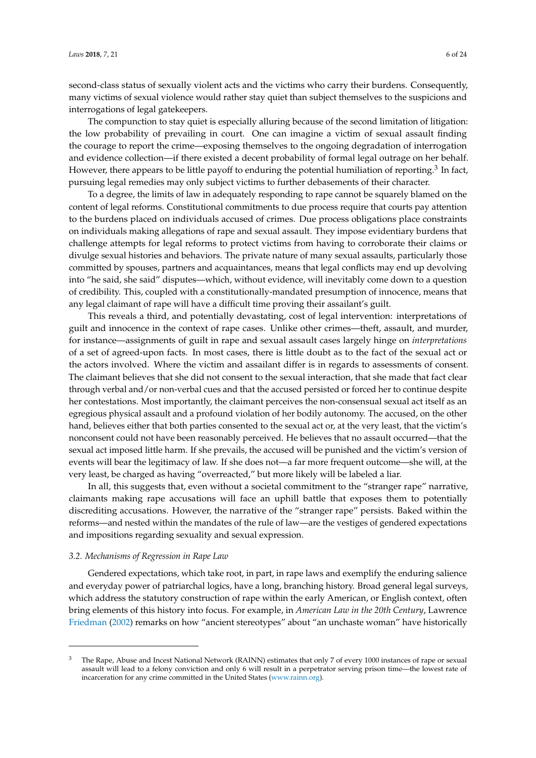second-class status of sexually violent acts and the victims who carry their burdens. Consequently, many victims of sexual violence would rather stay quiet than subject themselves to the suspicions and interrogations of legal gatekeepers.

The compunction to stay quiet is especially alluring because of the second limitation of litigation: the low probability of prevailing in court. One can imagine a victim of sexual assault finding the courage to report the crime—exposing themselves to the ongoing degradation of interrogation and evidence collection—if there existed a decent probability of formal legal outrage on her behalf. However, there appears to be little payoff to enduring the potential humiliation of reporting. $^3$  In fact, pursuing legal remedies may only subject victims to further debasements of their character.

To a degree, the limits of law in adequately responding to rape cannot be squarely blamed on the content of legal reforms. Constitutional commitments to due process require that courts pay attention to the burdens placed on individuals accused of crimes. Due process obligations place constraints on individuals making allegations of rape and sexual assault. They impose evidentiary burdens that challenge attempts for legal reforms to protect victims from having to corroborate their claims or divulge sexual histories and behaviors. The private nature of many sexual assaults, particularly those committed by spouses, partners and acquaintances, means that legal conflicts may end up devolving into "he said, she said" disputes—which, without evidence, will inevitably come down to a question of credibility. This, coupled with a constitutionally-mandated presumption of innocence, means that any legal claimant of rape will have a difficult time proving their assailant's guilt.

This reveals a third, and potentially devastating, cost of legal intervention: interpretations of guilt and innocence in the context of rape cases. Unlike other crimes—theft, assault, and murder, for instance—assignments of guilt in rape and sexual assault cases largely hinge on *interpretations* of a set of agreed-upon facts. In most cases, there is little doubt as to the fact of the sexual act or the actors involved. Where the victim and assailant differ is in regards to assessments of consent. The claimant believes that she did not consent to the sexual interaction, that she made that fact clear through verbal and/or non-verbal cues and that the accused persisted or forced her to continue despite her contestations. Most importantly, the claimant perceives the non-consensual sexual act itself as an egregious physical assault and a profound violation of her bodily autonomy. The accused, on the other hand, believes either that both parties consented to the sexual act or, at the very least, that the victim's nonconsent could not have been reasonably perceived. He believes that no assault occurred—that the sexual act imposed little harm. If she prevails, the accused will be punished and the victim's version of events will bear the legitimacy of law. If she does not—a far more frequent outcome—she will, at the very least, be charged as having "overreacted," but more likely will be labeled a liar.

In all, this suggests that, even without a societal commitment to the "stranger rape" narrative, claimants making rape accusations will face an uphill battle that exposes them to potentially discrediting accusations. However, the narrative of the "stranger rape" persists. Baked within the reforms—and nested within the mandates of the rule of law—are the vestiges of gendered expectations and impositions regarding sexuality and sexual expression.

#### *3.2. Mechanisms of Regression in Rape Law*

Gendered expectations, which take root, in part, in rape laws and exemplify the enduring salience and everyday power of patriarchal logics, have a long, branching history. Broad general legal surveys, which address the statutory construction of rape within the early American, or English context, often bring elements of this history into focus. For example, in *American Law in the 20th Century*, Lawrence [Friedman](#page-22-6) [\(2002\)](#page-22-6) remarks on how "ancient stereotypes" about "an unchaste woman" have historically

<sup>3</sup> The Rape, Abuse and Incest National Network (RAINN) estimates that only 7 of every 1000 instances of rape or sexual assault will lead to a felony conviction and only 6 will result in a perpetrator serving prison time—the lowest rate of incarceration for any crime committed in the United States [\(www.rainn.org\)](www.rainn.org).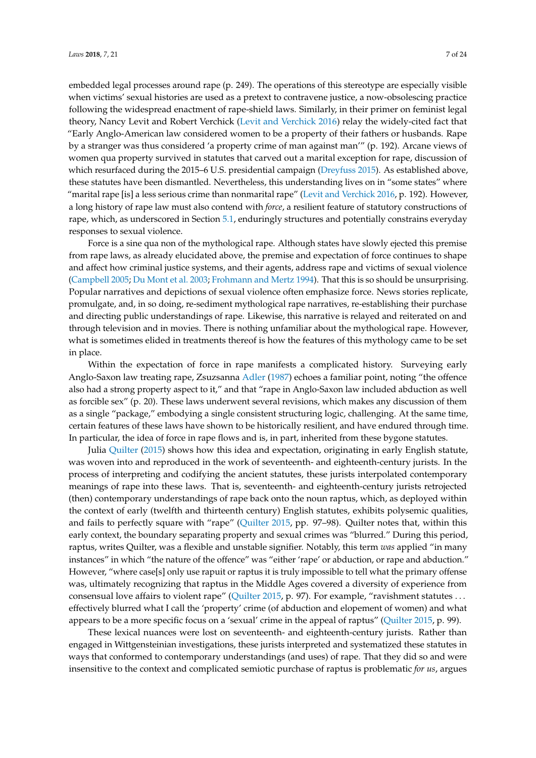embedded legal processes around rape (p. 249). The operations of this stereotype are especially visible when victims' sexual histories are used as a pretext to contravene justice, a now-obsolescing practice following the widespread enactment of rape-shield laws. Similarly, in their primer on feminist legal theory, Nancy Levit and Robert Verchick [\(Levit and Verchick](#page-22-7) [2016\)](#page-22-7) relay the widely-cited fact that "Early Anglo-American law considered women to be a property of their fathers or husbands. Rape by a stranger was thus considered 'a property crime of man against man'" (p. 192). Arcane views of women qua property survived in statutes that carved out a marital exception for rape, discussion of which resurfaced during the 2015–6 U.S. presidential campaign [\(Dreyfuss](#page-21-7) [2015\)](#page-21-7). As established above, these statutes have been dismantled. Nevertheless, this understanding lives on in "some states" where "marital rape [is] a less serious crime than nonmarital rape" [\(Levit and Verchick](#page-22-7) [2016,](#page-22-7) p. 192). However, a long history of rape law must also contend with *force*, a resilient feature of statutory constructions of rape, which, as underscored in Section [5.1,](#page-13-0) enduringly structures and potentially constrains everyday responses to sexual violence.

Force is a sine qua non of the mythological rape. Although states have slowly ejected this premise from rape laws, as already elucidated above, the premise and expectation of force continues to shape and affect how criminal justice systems, and their agents, address rape and victims of sexual violence [\(Campbell](#page-21-6) [2005;](#page-21-6) [Du Mont et al.](#page-21-0) [2003;](#page-21-0) [Frohmann and Mertz](#page-22-8) [1994\)](#page-22-8). That this is so should be unsurprising. Popular narratives and depictions of sexual violence often emphasize force. News stories replicate, promulgate, and, in so doing, re-sediment mythological rape narratives, re-establishing their purchase and directing public understandings of rape. Likewise, this narrative is relayed and reiterated on and through television and in movies. There is nothing unfamiliar about the mythological rape. However, what is sometimes elided in treatments thereof is how the features of this mythology came to be set in place.

Within the expectation of force in rape manifests a complicated history. Surveying early Anglo-Saxon law treating rape, Zsuzsanna [Adler](#page-21-4) [\(1987\)](#page-21-4) echoes a familiar point, noting "the offence also had a strong property aspect to it," and that "rape in Anglo-Saxon law included abduction as well as forcible sex" (p. 20). These laws underwent several revisions, which makes any discussion of them as a single "package," embodying a single consistent structuring logic, challenging. At the same time, certain features of these laws have shown to be historically resilient, and have endured through time. In particular, the idea of force in rape flows and is, in part, inherited from these bygone statutes.

Julia [Quilter](#page-23-0) [\(2015\)](#page-23-0) shows how this idea and expectation, originating in early English statute, was woven into and reproduced in the work of seventeenth- and eighteenth-century jurists. In the process of interpreting and codifying the ancient statutes, these jurists interpolated contemporary meanings of rape into these laws. That is, seventeenth- and eighteenth-century jurists retrojected (then) contemporary understandings of rape back onto the noun raptus, which, as deployed within the context of early (twelfth and thirteenth century) English statutes, exhibits polysemic qualities, and fails to perfectly square with "rape" [\(Quilter](#page-23-0) [2015,](#page-23-0) pp. 97–98). Quilter notes that, within this early context, the boundary separating property and sexual crimes was "blurred." During this period, raptus, writes Quilter, was a flexible and unstable signifier. Notably, this term *was* applied "in many instances" in which "the nature of the offence" was "either 'rape' or abduction, or rape and abduction." However, "where case[s] only use rapuit or raptus it is truly impossible to tell what the primary offense was, ultimately recognizing that raptus in the Middle Ages covered a diversity of experience from consensual love affairs to violent rape" [\(Quilter](#page-23-0) [2015,](#page-23-0) p. 97). For example, "ravishment statutes . . . effectively blurred what I call the 'property' crime (of abduction and elopement of women) and what appears to be a more specific focus on a 'sexual' crime in the appeal of raptus" [\(Quilter](#page-23-0) [2015,](#page-23-0) p. 99).

These lexical nuances were lost on seventeenth- and eighteenth-century jurists. Rather than engaged in Wittgensteinian investigations, these jurists interpreted and systematized these statutes in ways that conformed to contemporary understandings (and uses) of rape. That they did so and were insensitive to the context and complicated semiotic purchase of raptus is problematic *for us*, argues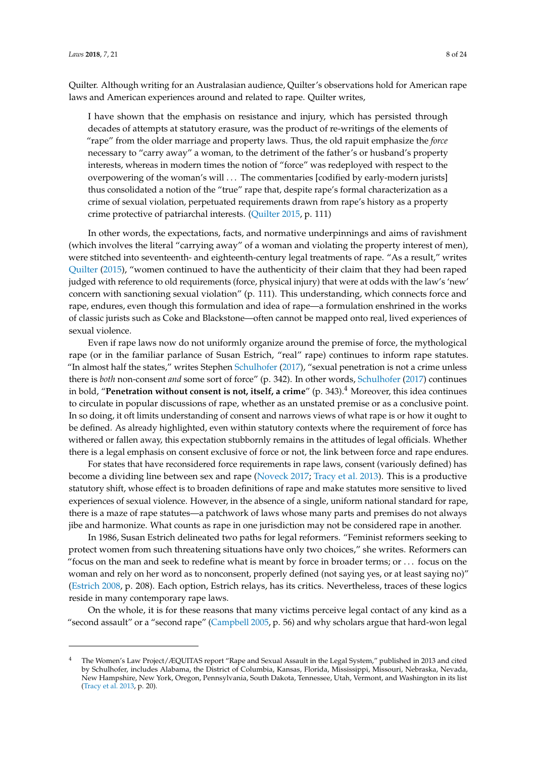Quilter. Although writing for an Australasian audience, Quilter's observations hold for American rape laws and American experiences around and related to rape. Quilter writes,

I have shown that the emphasis on resistance and injury, which has persisted through decades of attempts at statutory erasure, was the product of re-writings of the elements of "rape" from the older marriage and property laws. Thus, the old rapuit emphasize the *force* necessary to "carry away" a woman, to the detriment of the father's or husband's property interests, whereas in modern times the notion of "force" was redeployed with respect to the overpowering of the woman's will . . . The commentaries [codified by early-modern jurists] thus consolidated a notion of the "true" rape that, despite rape's formal characterization as a crime of sexual violation, perpetuated requirements drawn from rape's history as a property crime protective of patriarchal interests. [\(Quilter](#page-23-0) [2015,](#page-23-0) p. 111)

In other words, the expectations, facts, and normative underpinnings and aims of ravishment (which involves the literal "carrying away" of a woman and violating the property interest of men), were stitched into seventeenth- and eighteenth-century legal treatments of rape. "As a result," writes [Quilter](#page-23-0) [\(2015\)](#page-23-0), "women continued to have the authenticity of their claim that they had been raped judged with reference to old requirements (force, physical injury) that were at odds with the law's 'new' concern with sanctioning sexual violation" (p. 111). This understanding, which connects force and rape, endures, even though this formulation and idea of rape—a formulation enshrined in the works of classic jurists such as Coke and Blackstone—often cannot be mapped onto real, lived experiences of sexual violence.

Even if rape laws now do not uniformly organize around the premise of force, the mythological rape (or in the familiar parlance of Susan Estrich, "real" rape) continues to inform rape statutes. "In almost half the states," writes Stephen [Schulhofer](#page-23-1) [\(2017\)](#page-23-1), "sexual penetration is not a crime unless there is *both* non-consent *and* some sort of force" (p. 342). In other words, [Schulhofer](#page-23-1) [\(2017\)](#page-23-1) continues in bold, "**Penetration without consent is not, itself, a crime**" (p. 343).<sup>4</sup> Moreover, this idea continues to circulate in popular discussions of rape, whether as an unstated premise or as a conclusive point. In so doing, it oft limits understanding of consent and narrows views of what rape is or how it ought to be defined. As already highlighted, even within statutory contexts where the requirement of force has withered or fallen away, this expectation stubbornly remains in the attitudes of legal officials. Whether there is a legal emphasis on consent exclusive of force or not, the link between force and rape endures.

For states that have reconsidered force requirements in rape laws, consent (variously defined) has become a dividing line between sex and rape [\(Noveck](#page-23-2) [2017;](#page-23-2) [Tracy et al.](#page-23-3) [2013\)](#page-23-3). This is a productive statutory shift, whose effect is to broaden definitions of rape and make statutes more sensitive to lived experiences of sexual violence. However, in the absence of a single, uniform national standard for rape, there is a maze of rape statutes—a patchwork of laws whose many parts and premises do not always jibe and harmonize. What counts as rape in one jurisdiction may not be considered rape in another.

In 1986, Susan Estrich delineated two paths for legal reformers. "Feminist reformers seeking to protect women from such threatening situations have only two choices," she writes. Reformers can "focus on the man and seek to redefine what is meant by force in broader terms; or . . . focus on the woman and rely on her word as to nonconsent, properly defined (not saying yes, or at least saying no)" [\(Estrich](#page-21-8) [2008,](#page-21-8) p. 208). Each option, Estrich relays, has its critics. Nevertheless, traces of these logics reside in many contemporary rape laws.

On the whole, it is for these reasons that many victims perceive legal contact of any kind as a "second assault" or a "second rape" [\(Campbell](#page-21-6) [2005,](#page-21-6) p. 56) and why scholars argue that hard-won legal

<sup>4</sup> The Women's Law Project/ÆQUITAS report "Rape and Sexual Assault in the Legal System," published in 2013 and cited by Schulhofer, includes Alabama, the District of Columbia, Kansas, Florida, Mississippi, Missouri, Nebraska, Nevada, New Hampshire, New York, Oregon, Pennsylvania, South Dakota, Tennessee, Utah, Vermont, and Washington in its list [\(Tracy et al.](#page-23-3) [2013,](#page-23-3) p. 20).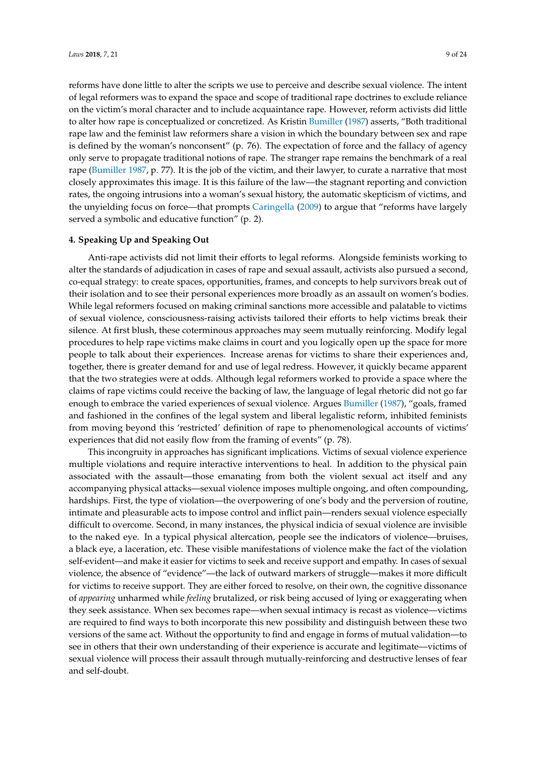reforms have done little to alter the scripts we use to perceive and describe sexual violence. The intent of legal reformers was to expand the space and scope of traditional rape doctrines to exclude reliance on the victim's moral character and to include acquaintance rape. However, reform activists did little to alter how rape is conceptualized or concretized. As Kristin [Bumiller](#page-21-9) [\(1987\)](#page-21-9) asserts, "Both traditional rape law and the feminist law reformers share a vision in which the boundary between sex and rape is defined by the woman's nonconsent" (p. 76). The expectation of force and the fallacy of agency only serve to propagate traditional notions of rape. The stranger rape remains the benchmark of a real rape [\(Bumiller](#page-21-9) [1987,](#page-21-9) p. 77). It is the job of the victim, and their lawyer, to curate a narrative that most closely approximates this image. It is this failure of the law—the stagnant reporting and conviction rates, the ongoing intrusions into a woman's sexual history, the automatic skepticism of victims, and the unyielding focus on force—that prompts [Caringella](#page-21-5) [\(2009\)](#page-21-5) to argue that "reforms have largely served a symbolic and educative function" (p. 2).

#### **4. Speaking Up and Speaking Out**

Anti-rape activists did not limit their efforts to legal reforms. Alongside feminists working to alter the standards of adjudication in cases of rape and sexual assault, activists also pursued a second, co-equal strategy: to create spaces, opportunities, frames, and concepts to help survivors break out of their isolation and to see their personal experiences more broadly as an assault on women's bodies. While legal reformers focused on making criminal sanctions more accessible and palatable to victims of sexual violence, consciousness-raising activists tailored their efforts to help victims break their silence. At first blush, these coterminous approaches may seem mutually reinforcing. Modify legal procedures to help rape victims make claims in court and you logically open up the space for more people to talk about their experiences. Increase arenas for victims to share their experiences and, together, there is greater demand for and use of legal redress. However, it quickly became apparent that the two strategies were at odds. Although legal reformers worked to provide a space where the claims of rape victims could receive the backing of law, the language of legal rhetoric did not go far enough to embrace the varied experiences of sexual violence. Argues [Bumiller](#page-21-9) [\(1987\)](#page-21-9), "goals, framed and fashioned in the confines of the legal system and liberal legalistic reform, inhibited feminists from moving beyond this 'restricted' definition of rape to phenomenological accounts of victims' experiences that did not easily flow from the framing of events" (p. 78).

This incongruity in approaches has significant implications. Victims of sexual violence experience multiple violations and require interactive interventions to heal. In addition to the physical pain associated with the assault—those emanating from both the violent sexual act itself and any accompanying physical attacks—sexual violence imposes multiple ongoing, and often compounding, hardships. First, the type of violation—the overpowering of one's body and the perversion of routine, intimate and pleasurable acts to impose control and inflict pain—renders sexual violence especially difficult to overcome. Second, in many instances, the physical indicia of sexual violence are invisible to the naked eye. In a typical physical altercation, people see the indicators of violence—bruises, a black eye, a laceration, etc. These visible manifestations of violence make the fact of the violation self-evident—and make it easier for victims to seek and receive support and empathy. In cases of sexual violence, the absence of "evidence"—the lack of outward markers of struggle—makes it more difficult for victims to receive support. They are either forced to resolve, on their own, the cognitive dissonance of *appearing* unharmed while *feeling* brutalized, or risk being accused of lying or exaggerating when they seek assistance. When sex becomes rape—when sexual intimacy is recast as violence—victims are required to find ways to both incorporate this new possibility and distinguish between these two versions of the same act. Without the opportunity to find and engage in forms of mutual validation—to see in others that their own understanding of their experience is accurate and legitimate—victims of sexual violence will process their assault through mutually-reinforcing and destructive lenses of fear and self-doubt.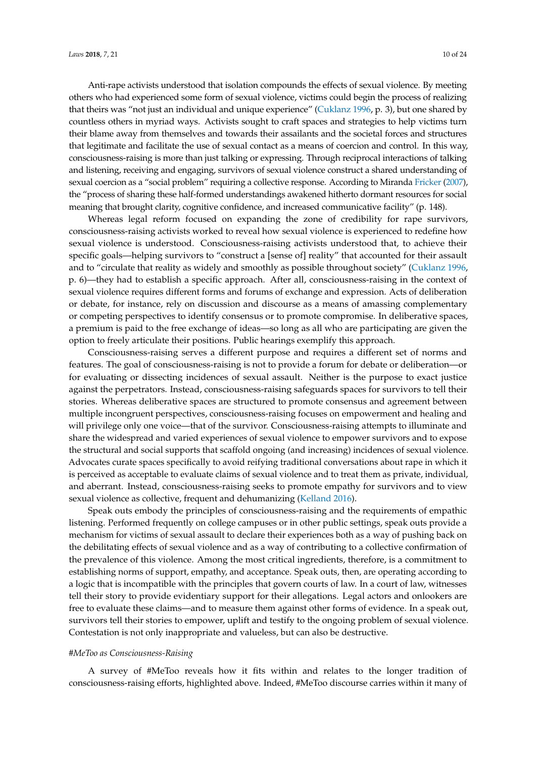Anti-rape activists understood that isolation compounds the effects of sexual violence. By meeting others who had experienced some form of sexual violence, victims could begin the process of realizing that theirs was "not just an individual and unique experience" [\(Cuklanz](#page-21-10) [1996,](#page-21-10) p. 3), but one shared by countless others in myriad ways. Activists sought to craft spaces and strategies to help victims turn their blame away from themselves and towards their assailants and the societal forces and structures that legitimate and facilitate the use of sexual contact as a means of coercion and control. In this way, consciousness-raising is more than just talking or expressing. Through reciprocal interactions of talking and listening, receiving and engaging, survivors of sexual violence construct a shared understanding of sexual coercion as a "social problem" requiring a collective response. According to Miranda [Fricker](#page-22-9) [\(2007\)](#page-22-9), the "process of sharing these half-formed understandings awakened hitherto dormant resources for social meaning that brought clarity, cognitive confidence, and increased communicative facility" (p. 148).

Whereas legal reform focused on expanding the zone of credibility for rape survivors, consciousness-raising activists worked to reveal how sexual violence is experienced to redefine how sexual violence is understood. Consciousness-raising activists understood that, to achieve their specific goals—helping survivors to "construct a [sense of] reality" that accounted for their assault and to "circulate that reality as widely and smoothly as possible throughout society" [\(Cuklanz](#page-21-10) [1996,](#page-21-10) p. 6)—they had to establish a specific approach. After all, consciousness-raising in the context of sexual violence requires different forms and forums of exchange and expression. Acts of deliberation or debate, for instance, rely on discussion and discourse as a means of amassing complementary or competing perspectives to identify consensus or to promote compromise. In deliberative spaces, a premium is paid to the free exchange of ideas—so long as all who are participating are given the option to freely articulate their positions. Public hearings exemplify this approach.

Consciousness-raising serves a different purpose and requires a different set of norms and features. The goal of consciousness-raising is not to provide a forum for debate or deliberation—or for evaluating or dissecting incidences of sexual assault. Neither is the purpose to exact justice against the perpetrators. Instead, consciousness-raising safeguards spaces for survivors to tell their stories. Whereas deliberative spaces are structured to promote consensus and agreement between multiple incongruent perspectives, consciousness-raising focuses on empowerment and healing and will privilege only one voice—that of the survivor. Consciousness-raising attempts to illuminate and share the widespread and varied experiences of sexual violence to empower survivors and to expose the structural and social supports that scaffold ongoing (and increasing) incidences of sexual violence. Advocates curate spaces specifically to avoid reifying traditional conversations about rape in which it is perceived as acceptable to evaluate claims of sexual violence and to treat them as private, individual, and aberrant. Instead, consciousness-raising seeks to promote empathy for survivors and to view sexual violence as collective, frequent and dehumanizing [\(Kelland](#page-22-10) [2016\)](#page-22-10).

Speak outs embody the principles of consciousness-raising and the requirements of empathic listening. Performed frequently on college campuses or in other public settings, speak outs provide a mechanism for victims of sexual assault to declare their experiences both as a way of pushing back on the debilitating effects of sexual violence and as a way of contributing to a collective confirmation of the prevalence of this violence. Among the most critical ingredients, therefore, is a commitment to establishing norms of support, empathy, and acceptance. Speak outs, then, are operating according to a logic that is incompatible with the principles that govern courts of law. In a court of law, witnesses tell their story to provide evidentiary support for their allegations. Legal actors and onlookers are free to evaluate these claims—and to measure them against other forms of evidence. In a speak out, survivors tell their stories to empower, uplift and testify to the ongoing problem of sexual violence. Contestation is not only inappropriate and valueless, but can also be destructive.

#### *#MeToo as Consciousness-Raising*

A survey of #MeToo reveals how it fits within and relates to the longer tradition of consciousness-raising efforts, highlighted above. Indeed, #MeToo discourse carries within it many of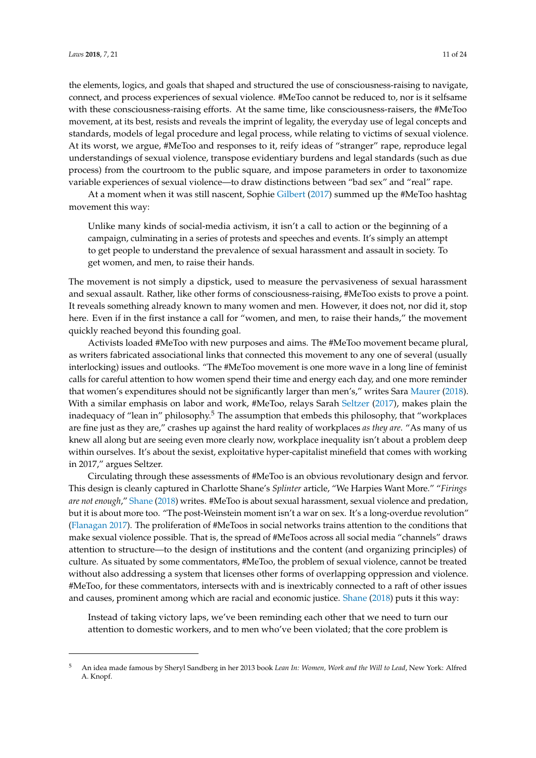the elements, logics, and goals that shaped and structured the use of consciousness-raising to navigate, connect, and process experiences of sexual violence. #MeToo cannot be reduced to, nor is it selfsame with these consciousness-raising efforts. At the same time, like consciousness-raisers, the #MeToo movement, at its best, resists and reveals the imprint of legality, the everyday use of legal concepts and standards, models of legal procedure and legal process, while relating to victims of sexual violence. At its worst, we argue, #MeToo and responses to it, reify ideas of "stranger" rape, reproduce legal understandings of sexual violence, transpose evidentiary burdens and legal standards (such as due process) from the courtroom to the public square, and impose parameters in order to taxonomize variable experiences of sexual violence—to draw distinctions between "bad sex" and "real" rape.

At a moment when it was still nascent, Sophie [Gilbert](#page-22-11) [\(2017\)](#page-22-11) summed up the #MeToo hashtag movement this way:

Unlike many kinds of social-media activism, it isn't a call to action or the beginning of a campaign, culminating in a series of protests and speeches and events. It's simply an attempt to get people to understand the prevalence of sexual harassment and assault in society. To get women, and men, to raise their hands.

The movement is not simply a dipstick, used to measure the pervasiveness of sexual harassment and sexual assault. Rather, like other forms of consciousness-raising, #MeToo exists to prove a point. It reveals something already known to many women and men. However, it does not, nor did it, stop here. Even if in the first instance a call for "women, and men, to raise their hands," the movement quickly reached beyond this founding goal.

Activists loaded #MeToo with new purposes and aims. The #MeToo movement became plural, as writers fabricated associational links that connected this movement to any one of several (usually interlocking) issues and outlooks. "The #MeToo movement is one more wave in a long line of feminist calls for careful attention to how women spend their time and energy each day, and one more reminder that women's expenditures should not be significantly larger than men's," writes Sara [Maurer](#page-22-12) [\(2018\)](#page-22-12). With a similar emphasis on labor and work, #MeToo, relays Sarah [Seltzer](#page-23-4) [\(2017\)](#page-23-4), makes plain the inadequacy of "lean in" philosophy.<sup>5</sup> The assumption that embeds this philosophy, that "workplaces are fine just as they are," crashes up against the hard reality of workplaces *as they are*. "As many of us knew all along but are seeing even more clearly now, workplace inequality isn't about a problem deep within ourselves. It's about the sexist, exploitative hyper-capitalist minefield that comes with working in 2017," argues Seltzer.

Circulating through these assessments of #MeToo is an obvious revolutionary design and fervor. This design is cleanly captured in Charlotte Shane's *Splinter* article, "We Harpies Want More." "*Firings are not enough*," [Shane](#page-23-5) [\(2018\)](#page-23-5) writes. #MeToo is about sexual harassment, sexual violence and predation, but it is about more too. "The post-Weinstein moment isn't a war on sex. It's a long-overdue revolution" [\(Flanagan](#page-22-13) [2017\)](#page-22-13). The proliferation of #MeToos in social networks trains attention to the conditions that make sexual violence possible. That is, the spread of #MeToos across all social media "channels" draws attention to structure—to the design of institutions and the content (and organizing principles) of culture. As situated by some commentators, #MeToo, the problem of sexual violence, cannot be treated without also addressing a system that licenses other forms of overlapping oppression and violence. #MeToo, for these commentators, intersects with and is inextricably connected to a raft of other issues and causes, prominent among which are racial and economic justice. [Shane](#page-23-5) [\(2018\)](#page-23-5) puts it this way:

Instead of taking victory laps, we've been reminding each other that we need to turn our attention to domestic workers, and to men who've been violated; that the core problem is

<sup>5</sup> An idea made famous by Sheryl Sandberg in her 2013 book *Lean In: Women, Work and the Will to Lead*, New York: Alfred A. Knopf.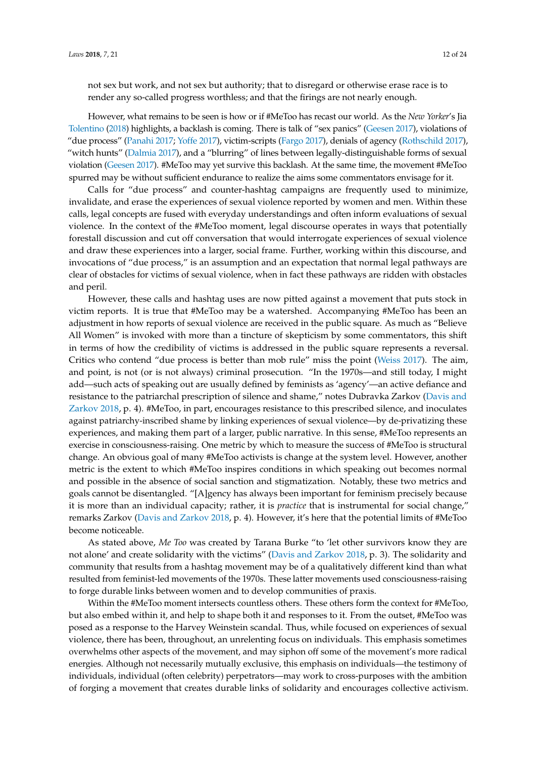not sex but work, and not sex but authority; that to disregard or otherwise erase race is to render any so-called progress worthless; and that the firings are not nearly enough.

However, what remains to be seen is how or if #MeToo has recast our world. As the *New Yorker*'s Jia [Tolentino](#page-23-6) [\(2018\)](#page-23-6) highlights, a backlash is coming. There is talk of "sex panics" [\(Geesen](#page-22-14) [2017\)](#page-22-14), violations of "due process" [\(Panahi](#page-23-7) [2017;](#page-23-7) [Yoffe](#page-23-8) [2017\)](#page-23-8), victim-scripts [\(Fargo](#page-21-11) [2017\)](#page-21-11), denials of agency [\(Rothschild](#page-23-9) [2017\)](#page-23-9), "witch hunts" [\(Dalmia](#page-21-12) [2017\)](#page-21-12), and a "blurring" of lines between legally-distinguishable forms of sexual violation [\(Geesen](#page-22-14) [2017\)](#page-22-14). #MeToo may yet survive this backlash. At the same time, the movement #MeToo spurred may be without sufficient endurance to realize the aims some commentators envisage for it.

Calls for "due process" and counter-hashtag campaigns are frequently used to minimize, invalidate, and erase the experiences of sexual violence reported by women and men. Within these calls, legal concepts are fused with everyday understandings and often inform evaluations of sexual violence. In the context of the #MeToo moment, legal discourse operates in ways that potentially forestall discussion and cut off conversation that would interrogate experiences of sexual violence and draw these experiences into a larger, social frame. Further, working within this discourse, and invocations of "due process," is an assumption and an expectation that normal legal pathways are clear of obstacles for victims of sexual violence, when in fact these pathways are ridden with obstacles and peril.

However, these calls and hashtag uses are now pitted against a movement that puts stock in victim reports. It is true that #MeToo may be a watershed. Accompanying #MeToo has been an adjustment in how reports of sexual violence are received in the public square. As much as "Believe All Women" is invoked with more than a tincture of skepticism by some commentators, this shift in terms of how the credibility of victims is addressed in the public square represents a reversal. Critics who contend "due process is better than mob rule" miss the point [\(Weiss](#page-23-10) [2017\)](#page-23-10). The aim, and point, is not (or is not always) criminal prosecution. "In the 1970s—and still today, I might add—such acts of speaking out are usually defined by feminists as 'agency'—an active defiance and resistance to the patriarchal prescription of silence and shame," notes Dubravka Zarkov [\(Davis and](#page-21-13) [Zarkov](#page-21-13) [2018,](#page-21-13) p. 4). #MeToo, in part, encourages resistance to this prescribed silence, and inoculates against patriarchy-inscribed shame by linking experiences of sexual violence—by de-privatizing these experiences, and making them part of a larger, public narrative. In this sense, #MeToo represents an exercise in consciousness-raising. One metric by which to measure the success of #MeToo is structural change. An obvious goal of many #MeToo activists is change at the system level. However, another metric is the extent to which #MeToo inspires conditions in which speaking out becomes normal and possible in the absence of social sanction and stigmatization. Notably, these two metrics and goals cannot be disentangled. "[A]gency has always been important for feminism precisely because it is more than an individual capacity; rather, it is *practice* that is instrumental for social change," remarks Zarkov [\(Davis and Zarkov](#page-21-13) [2018,](#page-21-13) p. 4). However, it's here that the potential limits of #MeToo become noticeable.

As stated above, *Me Too* was created by Tarana Burke "to 'let other survivors know they are not alone' and create solidarity with the victims" [\(Davis and Zarkov](#page-21-13) [2018,](#page-21-13) p. 3). The solidarity and community that results from a hashtag movement may be of a qualitatively different kind than what resulted from feminist-led movements of the 1970s. These latter movements used consciousness-raising to forge durable links between women and to develop communities of praxis.

Within the #MeToo moment intersects countless others. These others form the context for #MeToo, but also embed within it, and help to shape both it and responses to it. From the outset, #MeToo was posed as a response to the Harvey Weinstein scandal. Thus, while focused on experiences of sexual violence, there has been, throughout, an unrelenting focus on individuals. This emphasis sometimes overwhelms other aspects of the movement, and may siphon off some of the movement's more radical energies. Although not necessarily mutually exclusive, this emphasis on individuals—the testimony of individuals, individual (often celebrity) perpetrators—may work to cross-purposes with the ambition of forging a movement that creates durable links of solidarity and encourages collective activism.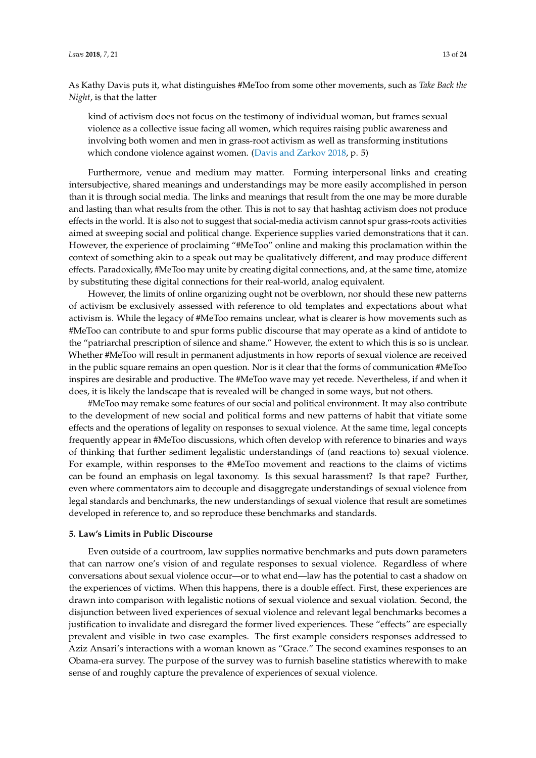As Kathy Davis puts it, what distinguishes #MeToo from some other movements, such as *Take Back the Night*, is that the latter

kind of activism does not focus on the testimony of individual woman, but frames sexual violence as a collective issue facing all women, which requires raising public awareness and involving both women and men in grass-root activism as well as transforming institutions which condone violence against women. [\(Davis and Zarkov](#page-21-13) [2018,](#page-21-13) p. 5)

Furthermore, venue and medium may matter. Forming interpersonal links and creating intersubjective, shared meanings and understandings may be more easily accomplished in person than it is through social media. The links and meanings that result from the one may be more durable and lasting than what results from the other. This is not to say that hashtag activism does not produce effects in the world. It is also not to suggest that social-media activism cannot spur grass-roots activities aimed at sweeping social and political change. Experience supplies varied demonstrations that it can. However, the experience of proclaiming "#MeToo" online and making this proclamation within the context of something akin to a speak out may be qualitatively different, and may produce different effects. Paradoxically, #MeToo may unite by creating digital connections, and, at the same time, atomize by substituting these digital connections for their real-world, analog equivalent.

However, the limits of online organizing ought not be overblown, nor should these new patterns of activism be exclusively assessed with reference to old templates and expectations about what activism is. While the legacy of #MeToo remains unclear, what is clearer is how movements such as #MeToo can contribute to and spur forms public discourse that may operate as a kind of antidote to the "patriarchal prescription of silence and shame." However, the extent to which this is so is unclear. Whether #MeToo will result in permanent adjustments in how reports of sexual violence are received in the public square remains an open question. Nor is it clear that the forms of communication #MeToo inspires are desirable and productive. The #MeToo wave may yet recede. Nevertheless, if and when it does, it is likely the landscape that is revealed will be changed in some ways, but not others.

#MeToo may remake some features of our social and political environment. It may also contribute to the development of new social and political forms and new patterns of habit that vitiate some effects and the operations of legality on responses to sexual violence. At the same time, legal concepts frequently appear in #MeToo discussions, which often develop with reference to binaries and ways of thinking that further sediment legalistic understandings of (and reactions to) sexual violence. For example, within responses to the #MeToo movement and reactions to the claims of victims can be found an emphasis on legal taxonomy. Is this sexual harassment? Is that rape? Further, even where commentators aim to decouple and disaggregate understandings of sexual violence from legal standards and benchmarks, the new understandings of sexual violence that result are sometimes developed in reference to, and so reproduce these benchmarks and standards.

#### **5. Law's Limits in Public Discourse**

Even outside of a courtroom, law supplies normative benchmarks and puts down parameters that can narrow one's vision of and regulate responses to sexual violence. Regardless of where conversations about sexual violence occur—or to what end—law has the potential to cast a shadow on the experiences of victims. When this happens, there is a double effect. First, these experiences are drawn into comparison with legalistic notions of sexual violence and sexual violation. Second, the disjunction between lived experiences of sexual violence and relevant legal benchmarks becomes a justification to invalidate and disregard the former lived experiences. These "effects" are especially prevalent and visible in two case examples. The first example considers responses addressed to Aziz Ansari's interactions with a woman known as "Grace." The second examines responses to an Obama-era survey. The purpose of the survey was to furnish baseline statistics wherewith to make sense of and roughly capture the prevalence of experiences of sexual violence.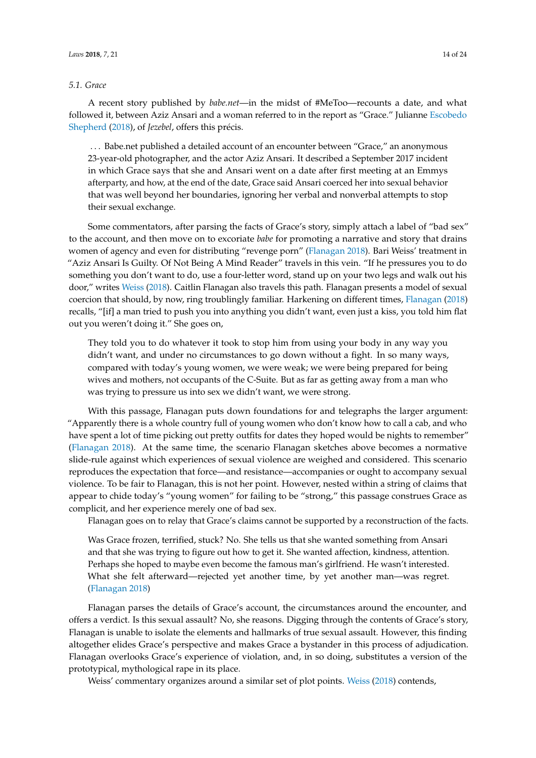#### <span id="page-13-0"></span>*5.1. Grace*

A recent story published by *babe.net*—in the midst of #MeToo—recounts a date, and what followed it, between Aziz Ansari and a woman referred to in the report as "Grace." Julianne [Escobedo](#page-21-14) [Shepherd](#page-21-14) [\(2018\)](#page-21-14), of *Jezebel*, offers this précis.

. . . Babe.net published a detailed account of an encounter between "Grace," an anonymous 23-year-old photographer, and the actor Aziz Ansari. It described a September 2017 incident in which Grace says that she and Ansari went on a date after first meeting at an Emmys afterparty, and how, at the end of the date, Grace said Ansari coerced her into sexual behavior that was well beyond her boundaries, ignoring her verbal and nonverbal attempts to stop their sexual exchange.

Some commentators, after parsing the facts of Grace's story, simply attach a label of "bad sex" to the account, and then move on to excoriate *babe* for promoting a narrative and story that drains women of agency and even for distributing "revenge porn" [\(Flanagan](#page-22-15) [2018\)](#page-22-15). Bari Weiss' treatment in "Aziz Ansari Is Guilty. Of Not Being A Mind Reader" travels in this vein. "If he pressures you to do something you don't want to do, use a four-letter word, stand up on your two legs and walk out his door," writes [Weiss](#page-23-11) [\(2018\)](#page-23-11). Caitlin Flanagan also travels this path. Flanagan presents a model of sexual coercion that should, by now, ring troublingly familiar. Harkening on different times, [Flanagan](#page-22-15) [\(2018\)](#page-22-15) recalls, "[if] a man tried to push you into anything you didn't want, even just a kiss, you told him flat out you weren't doing it." She goes on,

They told you to do whatever it took to stop him from using your body in any way you didn't want, and under no circumstances to go down without a fight. In so many ways, compared with today's young women, we were weak; we were being prepared for being wives and mothers, not occupants of the C-Suite. But as far as getting away from a man who was trying to pressure us into sex we didn't want, we were strong.

With this passage, Flanagan puts down foundations for and telegraphs the larger argument: "Apparently there is a whole country full of young women who don't know how to call a cab, and who have spent a lot of time picking out pretty outfits for dates they hoped would be nights to remember" [\(Flanagan](#page-22-15) [2018\)](#page-22-15). At the same time, the scenario Flanagan sketches above becomes a normative slide-rule against which experiences of sexual violence are weighed and considered. This scenario reproduces the expectation that force—and resistance—accompanies or ought to accompany sexual violence. To be fair to Flanagan, this is not her point. However, nested within a string of claims that appear to chide today's "young women" for failing to be "strong," this passage construes Grace as complicit, and her experience merely one of bad sex.

Flanagan goes on to relay that Grace's claims cannot be supported by a reconstruction of the facts.

Was Grace frozen, terrified, stuck? No. She tells us that she wanted something from Ansari and that she was trying to figure out how to get it. She wanted affection, kindness, attention. Perhaps she hoped to maybe even become the famous man's girlfriend. He wasn't interested. What she felt afterward—rejected yet another time, by yet another man—was regret. [\(Flanagan](#page-22-15) [2018\)](#page-22-15)

Flanagan parses the details of Grace's account, the circumstances around the encounter, and offers a verdict. Is this sexual assault? No, she reasons. Digging through the contents of Grace's story, Flanagan is unable to isolate the elements and hallmarks of true sexual assault. However, this finding altogether elides Grace's perspective and makes Grace a bystander in this process of adjudication. Flanagan overlooks Grace's experience of violation, and, in so doing, substitutes a version of the prototypical, mythological rape in its place.

Weiss' commentary organizes around a similar set of plot points. [Weiss](#page-23-11) [\(2018\)](#page-23-11) contends,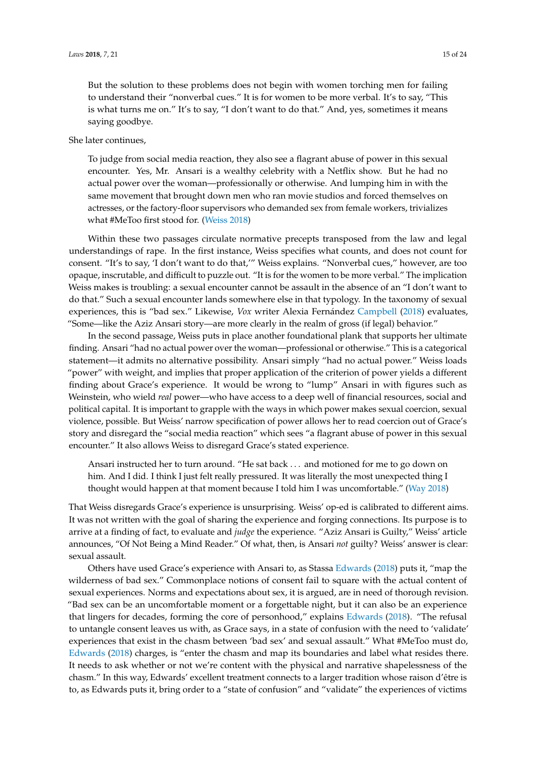But the solution to these problems does not begin with women torching men for failing to understand their "nonverbal cues." It is for women to be more verbal. It's to say, "This is what turns me on." It's to say, "I don't want to do that." And, yes, sometimes it means saying goodbye.

She later continues,

To judge from social media reaction, they also see a flagrant abuse of power in this sexual encounter. Yes, Mr. Ansari is a wealthy celebrity with a Netflix show. But he had no actual power over the woman—professionally or otherwise. And lumping him in with the same movement that brought down men who ran movie studios and forced themselves on actresses, or the factory-floor supervisors who demanded sex from female workers, trivializes what #MeToo first stood for. [\(Weiss](#page-23-11) [2018\)](#page-23-11)

Within these two passages circulate normative precepts transposed from the law and legal understandings of rape. In the first instance, Weiss specifies what counts, and does not count for consent. "It's to say, 'I don't want to do that,'" Weiss explains. "Nonverbal cues," however, are too opaque, inscrutable, and difficult to puzzle out. "It is for the women to be more verbal." The implication Weiss makes is troubling: a sexual encounter cannot be assault in the absence of an "I don't want to do that." Such a sexual encounter lands somewhere else in that typology. In the taxonomy of sexual experiences, this is "bad sex." Likewise, *Vox* writer Alexia Fernández [Campbell](#page-21-15) [\(2018\)](#page-21-15) evaluates, "Some—like the Aziz Ansari story—are more clearly in the realm of gross (if legal) behavior."

In the second passage, Weiss puts in place another foundational plank that supports her ultimate finding. Ansari "had no actual power over the woman—professional or otherwise." This is a categorical statement—it admits no alternative possibility. Ansari simply "had no actual power." Weiss loads "power" with weight, and implies that proper application of the criterion of power yields a different finding about Grace's experience. It would be wrong to "lump" Ansari in with figures such as Weinstein, who wield *real* power—who have access to a deep well of financial resources, social and political capital. It is important to grapple with the ways in which power makes sexual coercion, sexual violence, possible. But Weiss' narrow specification of power allows her to read coercion out of Grace's story and disregard the "social media reaction" which sees "a flagrant abuse of power in this sexual encounter." It also allows Weiss to disregard Grace's stated experience.

Ansari instructed her to turn around. "He sat back . . . and motioned for me to go down on him. And I did. I think I just felt really pressured. It was literally the most unexpected thing I thought would happen at that moment because I told him I was uncomfortable." [\(Way](#page-23-12) [2018\)](#page-23-12)

That Weiss disregards Grace's experience is unsurprising. Weiss' op-ed is calibrated to different aims. It was not written with the goal of sharing the experience and forging connections. Its purpose is to arrive at a finding of fact, to evaluate and *judge* the experience. "Aziz Ansari is Guilty," Weiss' article announces, "Of Not Being a Mind Reader." Of what, then, is Ansari *not* guilty? Weiss' answer is clear: sexual assault.

Others have used Grace's experience with Ansari to, as Stassa [Edwards](#page-21-16) [\(2018\)](#page-21-16) puts it, "map the wilderness of bad sex." Commonplace notions of consent fail to square with the actual content of sexual experiences. Norms and expectations about sex, it is argued, are in need of thorough revision. "Bad sex can be an uncomfortable moment or a forgettable night, but it can also be an experience that lingers for decades, forming the core of personhood," explains [Edwards](#page-21-16) [\(2018\)](#page-21-16). "The refusal to untangle consent leaves us with, as Grace says, in a state of confusion with the need to 'validate' experiences that exist in the chasm between 'bad sex' and sexual assault." What #MeToo must do, [Edwards](#page-21-16) [\(2018\)](#page-21-16) charges, is "enter the chasm and map its boundaries and label what resides there. It needs to ask whether or not we're content with the physical and narrative shapelessness of the chasm." In this way, Edwards' excellent treatment connects to a larger tradition whose raison d'être is to, as Edwards puts it, bring order to a "state of confusion" and "validate" the experiences of victims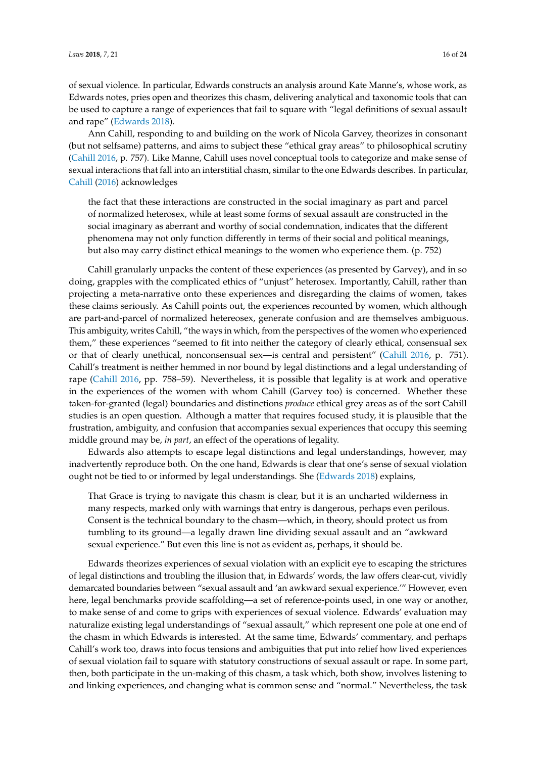of sexual violence. In particular, Edwards constructs an analysis around Kate Manne's, whose work, as Edwards notes, pries open and theorizes this chasm, delivering analytical and taxonomic tools that can be used to capture a range of experiences that fail to square with "legal definitions of sexual assault and rape" [\(Edwards](#page-21-16) [2018\)](#page-21-16).

Ann Cahill, responding to and building on the work of Nicola Garvey, theorizes in consonant (but not selfsame) patterns, and aims to subject these "ethical gray areas" to philosophical scrutiny [\(Cahill](#page-21-17) [2016,](#page-21-17) p. 757). Like Manne, Cahill uses novel conceptual tools to categorize and make sense of sexual interactions that fall into an interstitial chasm, similar to the one Edwards describes. In particular, [Cahill](#page-21-17) [\(2016\)](#page-21-17) acknowledges

the fact that these interactions are constructed in the social imaginary as part and parcel of normalized heterosex, while at least some forms of sexual assault are constructed in the social imaginary as aberrant and worthy of social condemnation, indicates that the different phenomena may not only function differently in terms of their social and political meanings, but also may carry distinct ethical meanings to the women who experience them. (p. 752)

Cahill granularly unpacks the content of these experiences (as presented by Garvey), and in so doing, grapples with the complicated ethics of "unjust" heterosex. Importantly, Cahill, rather than projecting a meta-narrative onto these experiences and disregarding the claims of women, takes these claims seriously. As Cahill points out, the experiences recounted by women, which although are part-and-parcel of normalized hetereosex, generate confusion and are themselves ambiguous. This ambiguity, writes Cahill, "the ways in which, from the perspectives of the women who experienced them," these experiences "seemed to fit into neither the category of clearly ethical, consensual sex or that of clearly unethical, nonconsensual sex—is central and persistent" [\(Cahill](#page-21-17) [2016,](#page-21-17) p. 751). Cahill's treatment is neither hemmed in nor bound by legal distinctions and a legal understanding of rape [\(Cahill](#page-21-17) [2016,](#page-21-17) pp. 758–59). Nevertheless, it is possible that legality is at work and operative in the experiences of the women with whom Cahill (Garvey too) is concerned. Whether these taken-for-granted (legal) boundaries and distinctions *produce* ethical grey areas as of the sort Cahill studies is an open question. Although a matter that requires focused study, it is plausible that the frustration, ambiguity, and confusion that accompanies sexual experiences that occupy this seeming middle ground may be, *in part*, an effect of the operations of legality.

Edwards also attempts to escape legal distinctions and legal understandings, however, may inadvertently reproduce both. On the one hand, Edwards is clear that one's sense of sexual violation ought not be tied to or informed by legal understandings. She [\(Edwards](#page-21-16) [2018\)](#page-21-16) explains,

That Grace is trying to navigate this chasm is clear, but it is an uncharted wilderness in many respects, marked only with warnings that entry is dangerous, perhaps even perilous. Consent is the technical boundary to the chasm—which, in theory, should protect us from tumbling to its ground—a legally drawn line dividing sexual assault and an "awkward sexual experience." But even this line is not as evident as, perhaps, it should be.

Edwards theorizes experiences of sexual violation with an explicit eye to escaping the strictures of legal distinctions and troubling the illusion that, in Edwards' words, the law offers clear-cut, vividly demarcated boundaries between "sexual assault and 'an awkward sexual experience.'" However, even here, legal benchmarks provide scaffolding—a set of reference-points used, in one way or another, to make sense of and come to grips with experiences of sexual violence. Edwards' evaluation may naturalize existing legal understandings of "sexual assault," which represent one pole at one end of the chasm in which Edwards is interested. At the same time, Edwards' commentary, and perhaps Cahill's work too, draws into focus tensions and ambiguities that put into relief how lived experiences of sexual violation fail to square with statutory constructions of sexual assault or rape. In some part, then, both participate in the un-making of this chasm, a task which, both show, involves listening to and linking experiences, and changing what is common sense and "normal." Nevertheless, the task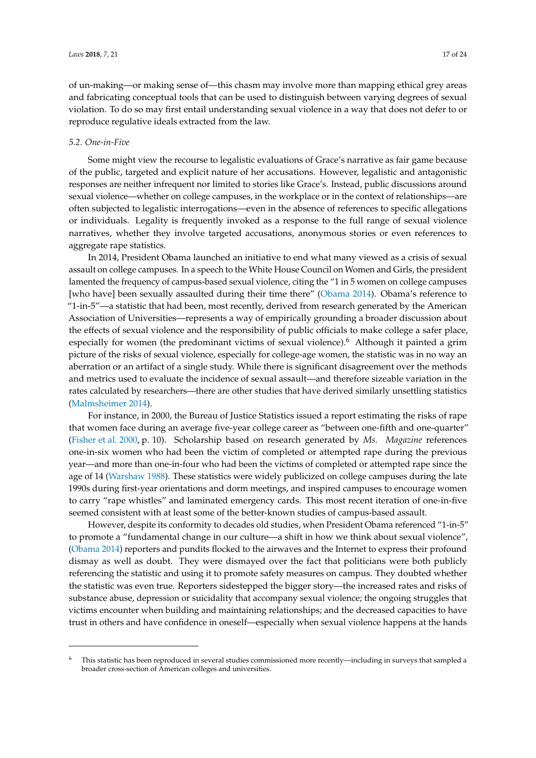of un-making—or making sense of—this chasm may involve more than mapping ethical grey areas and fabricating conceptual tools that can be used to distinguish between varying degrees of sexual violation. To do so may first entail understanding sexual violence in a way that does not defer to or reproduce regulative ideals extracted from the law.

#### *5.2. One-in-Five*

Some might view the recourse to legalistic evaluations of Grace's narrative as fair game because of the public, targeted and explicit nature of her accusations. However, legalistic and antagonistic responses are neither infrequent nor limited to stories like Grace's. Instead, public discussions around sexual violence—whether on college campuses, in the workplace or in the context of relationships—are often subjected to legalistic interrogations—even in the absence of references to specific allegations or individuals. Legality is frequently invoked as a response to the full range of sexual violence narratives, whether they involve targeted accusations, anonymous stories or even references to aggregate rape statistics.

In 2014, President Obama launched an initiative to end what many viewed as a crisis of sexual assault on college campuses. In a speech to the White House Council on Women and Girls, the president lamented the frequency of campus-based sexual violence, citing the "1 in 5 women on college campuses [who have] been sexually assaulted during their time there" [\(Obama](#page-23-13) [2014\)](#page-23-13). Obama's reference to "1-in-5"—a statistic that had been, most recently, derived from research generated by the American Association of Universities—represents a way of empirically grounding a broader discussion about the effects of sexual violence and the responsibility of public officials to make college a safer place, especially for women (the predominant victims of sexual violence).<sup>6</sup> Although it painted a grim picture of the risks of sexual violence, especially for college-age women, the statistic was in no way an aberration or an artifact of a single study. While there is significant disagreement over the methods and metrics used to evaluate the incidence of sexual assault—and therefore sizeable variation in the rates calculated by researchers—there are other studies that have derived similarly unsettling statistics [\(Malmsheimer](#page-22-16) [2014\)](#page-22-16).

For instance, in 2000, the Bureau of Justice Statistics issued a report estimating the risks of rape that women face during an average five-year college career as "between one-fifth and one-quarter" [\(Fisher et al.](#page-22-17) [2000,](#page-22-17) p. 10). Scholarship based on research generated by *Ms. Magazine* references one-in-six women who had been the victim of completed or attempted rape during the previous year—and more than one-in-four who had been the victims of completed or attempted rape since the age of 14 [\(Warshaw](#page-23-14) [1988\)](#page-23-14). These statistics were widely publicized on college campuses during the late 1990s during first-year orientations and dorm meetings, and inspired campuses to encourage women to carry "rape whistles" and laminated emergency cards. This most recent iteration of one-in-five seemed consistent with at least some of the better-known studies of campus-based assault.

However, despite its conformity to decades old studies, when President Obama referenced "1-in-5" to promote a "fundamental change in our culture—a shift in how we think about sexual violence", [\(Obama](#page-23-13) [2014\)](#page-23-13) reporters and pundits flocked to the airwaves and the Internet to express their profound dismay as well as doubt. They were dismayed over the fact that politicians were both publicly referencing the statistic and using it to promote safety measures on campus. They doubted whether the statistic was even true. Reporters sidestepped the bigger story—the increased rates and risks of substance abuse, depression or suicidality that accompany sexual violence; the ongoing struggles that victims encounter when building and maintaining relationships; and the decreased capacities to have trust in others and have confidence in oneself—especially when sexual violence happens at the hands

<sup>6</sup> This statistic has been reproduced in several studies commissioned more recently—including in surveys that sampled a broader cross-section of American colleges and universities.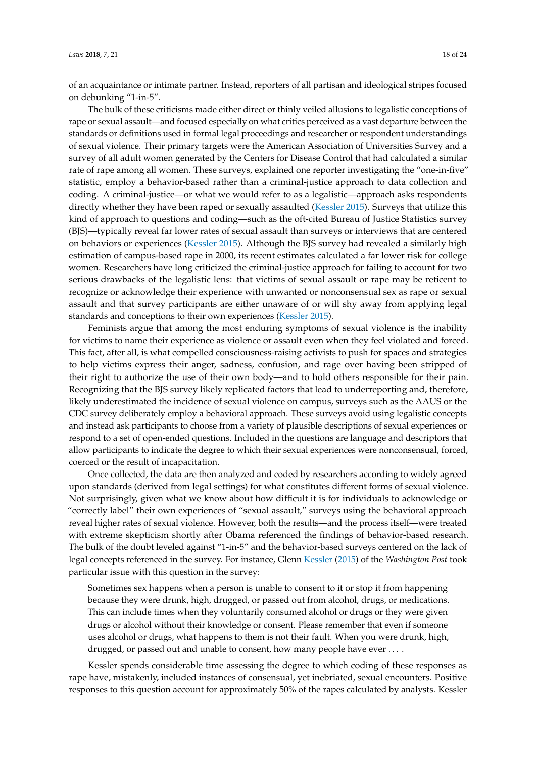of an acquaintance or intimate partner. Instead, reporters of all partisan and ideological stripes focused on debunking "1-in-5".

The bulk of these criticisms made either direct or thinly veiled allusions to legalistic conceptions of rape or sexual assault—and focused especially on what critics perceived as a vast departure between the standards or definitions used in formal legal proceedings and researcher or respondent understandings of sexual violence. Their primary targets were the American Association of Universities Survey and a survey of all adult women generated by the Centers for Disease Control that had calculated a similar rate of rape among all women. These surveys, explained one reporter investigating the "one-in-five" statistic, employ a behavior-based rather than a criminal-justice approach to data collection and coding. A criminal-justice—or what we would refer to as a legalistic—approach asks respondents directly whether they have been raped or sexually assaulted [\(Kessler](#page-22-18) [2015\)](#page-22-18). Surveys that utilize this kind of approach to questions and coding—such as the oft-cited Bureau of Justice Statistics survey (BJS)—typically reveal far lower rates of sexual assault than surveys or interviews that are centered on behaviors or experiences [\(Kessler](#page-22-18) [2015\)](#page-22-18). Although the BJS survey had revealed a similarly high estimation of campus-based rape in 2000, its recent estimates calculated a far lower risk for college women. Researchers have long criticized the criminal-justice approach for failing to account for two serious drawbacks of the legalistic lens: that victims of sexual assault or rape may be reticent to recognize or acknowledge their experience with unwanted or nonconsensual sex as rape or sexual assault and that survey participants are either unaware of or will shy away from applying legal standards and conceptions to their own experiences [\(Kessler](#page-22-18) [2015\)](#page-22-18).

Feminists argue that among the most enduring symptoms of sexual violence is the inability for victims to name their experience as violence or assault even when they feel violated and forced. This fact, after all, is what compelled consciousness-raising activists to push for spaces and strategies to help victims express their anger, sadness, confusion, and rage over having been stripped of their right to authorize the use of their own body—and to hold others responsible for their pain. Recognizing that the BJS survey likely replicated factors that lead to underreporting and, therefore, likely underestimated the incidence of sexual violence on campus, surveys such as the AAUS or the CDC survey deliberately employ a behavioral approach. These surveys avoid using legalistic concepts and instead ask participants to choose from a variety of plausible descriptions of sexual experiences or respond to a set of open-ended questions. Included in the questions are language and descriptors that allow participants to indicate the degree to which their sexual experiences were nonconsensual, forced, coerced or the result of incapacitation.

Once collected, the data are then analyzed and coded by researchers according to widely agreed upon standards (derived from legal settings) for what constitutes different forms of sexual violence. Not surprisingly, given what we know about how difficult it is for individuals to acknowledge or "correctly label" their own experiences of "sexual assault," surveys using the behavioral approach reveal higher rates of sexual violence. However, both the results—and the process itself—were treated with extreme skepticism shortly after Obama referenced the findings of behavior-based research. The bulk of the doubt leveled against "1-in-5" and the behavior-based surveys centered on the lack of legal concepts referenced in the survey. For instance, Glenn [Kessler](#page-22-18) [\(2015\)](#page-22-18) of the *Washington Post* took particular issue with this question in the survey:

Sometimes sex happens when a person is unable to consent to it or stop it from happening because they were drunk, high, drugged, or passed out from alcohol, drugs, or medications. This can include times when they voluntarily consumed alcohol or drugs or they were given drugs or alcohol without their knowledge or consent. Please remember that even if someone uses alcohol or drugs, what happens to them is not their fault. When you were drunk, high, drugged, or passed out and unable to consent, how many people have ever ....

Kessler spends considerable time assessing the degree to which coding of these responses as rape have, mistakenly, included instances of consensual, yet inebriated, sexual encounters. Positive responses to this question account for approximately 50% of the rapes calculated by analysts. Kessler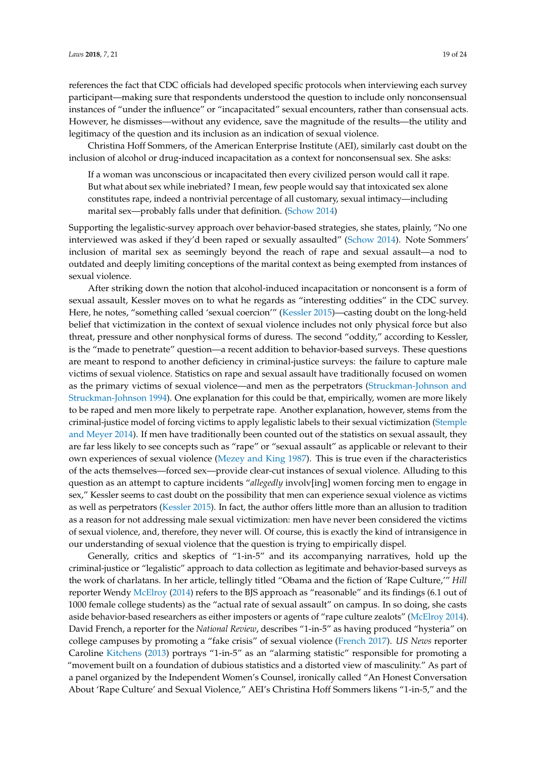references the fact that CDC officials had developed specific protocols when interviewing each survey participant—making sure that respondents understood the question to include only nonconsensual instances of "under the influence" or "incapacitated" sexual encounters, rather than consensual acts. However, he dismisses—without any evidence, save the magnitude of the results—the utility and legitimacy of the question and its inclusion as an indication of sexual violence.

Christina Hoff Sommers, of the American Enterprise Institute (AEI), similarly cast doubt on the inclusion of alcohol or drug-induced incapacitation as a context for nonconsensual sex. She asks:

If a woman was unconscious or incapacitated then every civilized person would call it rape. But what about sex while inebriated? I mean, few people would say that intoxicated sex alone constitutes rape, indeed a nontrivial percentage of all customary, sexual intimacy—including marital sex—probably falls under that definition. [\(Schow](#page-23-15) [2014\)](#page-23-15)

Supporting the legalistic-survey approach over behavior-based strategies, she states, plainly, "No one interviewed was asked if they'd been raped or sexually assaulted" [\(Schow](#page-23-15) [2014\)](#page-23-15). Note Sommers' inclusion of marital sex as seemingly beyond the reach of rape and sexual assault—a nod to outdated and deeply limiting conceptions of the marital context as being exempted from instances of sexual violence.

After striking down the notion that alcohol-induced incapacitation or nonconsent is a form of sexual assault, Kessler moves on to what he regards as "interesting oddities" in the CDC survey. Here, he notes, "something called 'sexual coercion'" [\(Kessler](#page-22-18) [2015\)](#page-22-18)—casting doubt on the long-held belief that victimization in the context of sexual violence includes not only physical force but also threat, pressure and other nonphysical forms of duress. The second "oddity," according to Kessler, is the "made to penetrate" question—a recent addition to behavior-based surveys. These questions are meant to respond to another deficiency in criminal-justice surveys: the failure to capture male victims of sexual violence. Statistics on rape and sexual assault have traditionally focused on women as the primary victims of sexual violence—and men as the perpetrators [\(Struckman-Johnson and](#page-23-16) [Struckman-Johnson](#page-23-16) [1994\)](#page-23-16). One explanation for this could be that, empirically, women are more likely to be raped and men more likely to perpetrate rape. Another explanation, however, stems from the criminal-justice model of forcing victims to apply legalistic labels to their sexual victimization [\(Stemple](#page-23-17) [and Meyer](#page-23-17) [2014\)](#page-23-17). If men have traditionally been counted out of the statistics on sexual assault, they are far less likely to see concepts such as "rape" or "sexual assault" as applicable or relevant to their own experiences of sexual violence [\(Mezey and King](#page-23-18) [1987\)](#page-23-18). This is true even if the characteristics of the acts themselves—forced sex—provide clear-cut instances of sexual violence. Alluding to this question as an attempt to capture incidents "*allegedly* involv[ing] women forcing men to engage in sex," Kessler seems to cast doubt on the possibility that men can experience sexual violence as victims as well as perpetrators [\(Kessler](#page-22-18) [2015\)](#page-22-18). In fact, the author offers little more than an allusion to tradition as a reason for not addressing male sexual victimization: men have never been considered the victims of sexual violence, and, therefore, they never will. Of course, this is exactly the kind of intransigence in our understanding of sexual violence that the question is trying to empirically dispel.

Generally, critics and skeptics of "1-in-5" and its accompanying narratives, hold up the criminal-justice or "legalistic" approach to data collection as legitimate and behavior-based surveys as the work of charlatans. In her article, tellingly titled "Obama and the fiction of 'Rape Culture,'" *Hill* reporter Wendy [McElroy](#page-22-19) [\(2014\)](#page-22-19) refers to the BJS approach as "reasonable" and its findings (6.1 out of 1000 female college students) as the "actual rate of sexual assault" on campus. In so doing, she casts aside behavior-based researchers as either imposters or agents of "rape culture zealots" [\(McElroy](#page-22-19) [2014\)](#page-22-19). David French, a reporter for the *National Review*, describes "1-in-5" as having produced "hysteria" on college campuses by promoting a "fake crisis" of sexual violence [\(French](#page-22-20) [2017\)](#page-22-20). *US News* reporter Caroline [Kitchens](#page-22-21) [\(2013\)](#page-22-21) portrays "1-in-5" as an "alarming statistic" responsible for promoting a "movement built on a foundation of dubious statistics and a distorted view of masculinity." As part of a panel organized by the Independent Women's Counsel, ironically called "An Honest Conversation About 'Rape Culture' and Sexual Violence," AEI's Christina Hoff Sommers likens "1-in-5," and the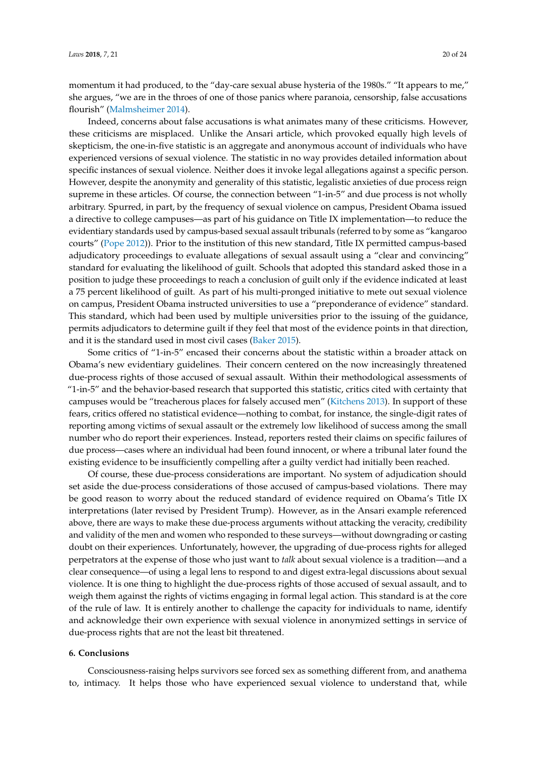momentum it had produced, to the "day-care sexual abuse hysteria of the 1980s." "It appears to me," she argues, "we are in the throes of one of those panics where paranoia, censorship, false accusations flourish" [\(Malmsheimer](#page-22-16) [2014\)](#page-22-16).

Indeed, concerns about false accusations is what animates many of these criticisms. However, these criticisms are misplaced. Unlike the Ansari article, which provoked equally high levels of skepticism, the one-in-five statistic is an aggregate and anonymous account of individuals who have experienced versions of sexual violence. The statistic in no way provides detailed information about specific instances of sexual violence. Neither does it invoke legal allegations against a specific person. However, despite the anonymity and generality of this statistic, legalistic anxieties of due process reign supreme in these articles. Of course, the connection between "1-in-5" and due process is not wholly arbitrary. Spurred, in part, by the frequency of sexual violence on campus, President Obama issued a directive to college campuses—as part of his guidance on Title IX implementation—to reduce the evidentiary standards used by campus-based sexual assault tribunals (referred to by some as "kangaroo courts" [\(Pope](#page-23-19) [2012\)](#page-23-19)). Prior to the institution of this new standard, Title IX permitted campus-based adjudicatory proceedings to evaluate allegations of sexual assault using a "clear and convincing" standard for evaluating the likelihood of guilt. Schools that adopted this standard asked those in a position to judge these proceedings to reach a conclusion of guilt only if the evidence indicated at least a 75 percent likelihood of guilt. As part of his multi-pronged initiative to mete out sexual violence on campus, President Obama instructed universities to use a "preponderance of evidence" standard. This standard, which had been used by multiple universities prior to the issuing of the guidance, permits adjudicators to determine guilt if they feel that most of the evidence points in that direction, and it is the standard used in most civil cases [\(Baker](#page-21-18) [2015\)](#page-21-18).

Some critics of "1-in-5" encased their concerns about the statistic within a broader attack on Obama's new evidentiary guidelines. Their concern centered on the now increasingly threatened due-process rights of those accused of sexual assault. Within their methodological assessments of "1-in-5" and the behavior-based research that supported this statistic, critics cited with certainty that campuses would be "treacherous places for falsely accused men" [\(Kitchens](#page-22-21) [2013\)](#page-22-21). In support of these fears, critics offered no statistical evidence—nothing to combat, for instance, the single-digit rates of reporting among victims of sexual assault or the extremely low likelihood of success among the small number who do report their experiences. Instead, reporters rested their claims on specific failures of due process—cases where an individual had been found innocent, or where a tribunal later found the existing evidence to be insufficiently compelling after a guilty verdict had initially been reached.

Of course, these due-process considerations are important. No system of adjudication should set aside the due-process considerations of those accused of campus-based violations. There may be good reason to worry about the reduced standard of evidence required on Obama's Title IX interpretations (later revised by President Trump). However, as in the Ansari example referenced above, there are ways to make these due-process arguments without attacking the veracity, credibility and validity of the men and women who responded to these surveys—without downgrading or casting doubt on their experiences. Unfortunately, however, the upgrading of due-process rights for alleged perpetrators at the expense of those who just want to *talk* about sexual violence is a tradition—and a clear consequence—of using a legal lens to respond to and digest extra-legal discussions about sexual violence. It is one thing to highlight the due-process rights of those accused of sexual assault, and to weigh them against the rights of victims engaging in formal legal action. This standard is at the core of the rule of law. It is entirely another to challenge the capacity for individuals to name, identify and acknowledge their own experience with sexual violence in anonymized settings in service of due-process rights that are not the least bit threatened.

### **6. Conclusions**

Consciousness-raising helps survivors see forced sex as something different from, and anathema to, intimacy. It helps those who have experienced sexual violence to understand that, while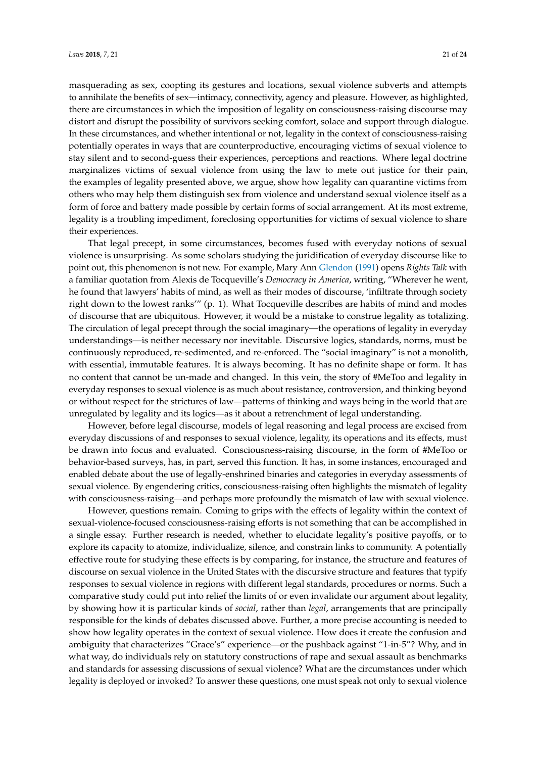masquerading as sex, coopting its gestures and locations, sexual violence subverts and attempts to annihilate the benefits of sex—intimacy, connectivity, agency and pleasure. However, as highlighted, there are circumstances in which the imposition of legality on consciousness-raising discourse may distort and disrupt the possibility of survivors seeking comfort, solace and support through dialogue. In these circumstances, and whether intentional or not, legality in the context of consciousness-raising potentially operates in ways that are counterproductive, encouraging victims of sexual violence to stay silent and to second-guess their experiences, perceptions and reactions. Where legal doctrine marginalizes victims of sexual violence from using the law to mete out justice for their pain, the examples of legality presented above, we argue, show how legality can quarantine victims from others who may help them distinguish sex from violence and understand sexual violence itself as a form of force and battery made possible by certain forms of social arrangement. At its most extreme, legality is a troubling impediment, foreclosing opportunities for victims of sexual violence to share their experiences.

That legal precept, in some circumstances, becomes fused with everyday notions of sexual violence is unsurprising. As some scholars studying the juridification of everyday discourse like to point out, this phenomenon is not new. For example, Mary Ann [Glendon](#page-22-22) [\(1991\)](#page-22-22) opens *Rights Talk* with a familiar quotation from Alexis de Tocqueville's *Democracy in America*, writing, "Wherever he went, he found that lawyers' habits of mind, as well as their modes of discourse, 'infiltrate through society right down to the lowest ranks'" (p. 1). What Tocqueville describes are habits of mind and modes of discourse that are ubiquitous. However, it would be a mistake to construe legality as totalizing. The circulation of legal precept through the social imaginary—the operations of legality in everyday understandings—is neither necessary nor inevitable. Discursive logics, standards, norms, must be continuously reproduced, re-sedimented, and re-enforced. The "social imaginary" is not a monolith, with essential, immutable features. It is always becoming. It has no definite shape or form. It has no content that cannot be un-made and changed. In this vein, the story of #MeToo and legality in everyday responses to sexual violence is as much about resistance, controversion, and thinking beyond or without respect for the strictures of law—patterns of thinking and ways being in the world that are unregulated by legality and its logics—as it about a retrenchment of legal understanding.

However, before legal discourse, models of legal reasoning and legal process are excised from everyday discussions of and responses to sexual violence, legality, its operations and its effects, must be drawn into focus and evaluated. Consciousness-raising discourse, in the form of #MeToo or behavior-based surveys, has, in part, served this function. It has, in some instances, encouraged and enabled debate about the use of legally-enshrined binaries and categories in everyday assessments of sexual violence. By engendering critics, consciousness-raising often highlights the mismatch of legality with consciousness-raising—and perhaps more profoundly the mismatch of law with sexual violence.

However, questions remain. Coming to grips with the effects of legality within the context of sexual-violence-focused consciousness-raising efforts is not something that can be accomplished in a single essay. Further research is needed, whether to elucidate legality's positive payoffs, or to explore its capacity to atomize, individualize, silence, and constrain links to community. A potentially effective route for studying these effects is by comparing, for instance, the structure and features of discourse on sexual violence in the United States with the discursive structure and features that typify responses to sexual violence in regions with different legal standards, procedures or norms. Such a comparative study could put into relief the limits of or even invalidate our argument about legality, by showing how it is particular kinds of *social*, rather than *legal*, arrangements that are principally responsible for the kinds of debates discussed above. Further, a more precise accounting is needed to show how legality operates in the context of sexual violence. How does it create the confusion and ambiguity that characterizes "Grace's" experience—or the pushback against "1-in-5"? Why, and in what way, do individuals rely on statutory constructions of rape and sexual assault as benchmarks and standards for assessing discussions of sexual violence? What are the circumstances under which legality is deployed or invoked? To answer these questions, one must speak not only to sexual violence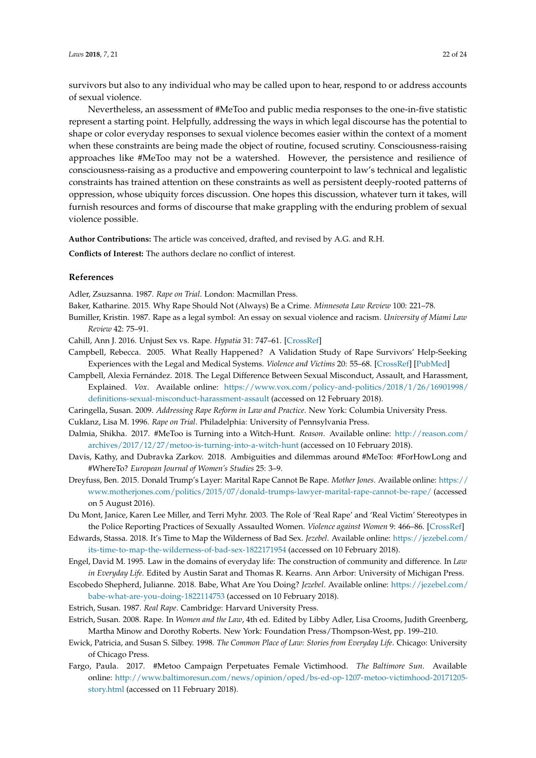survivors but also to any individual who may be called upon to hear, respond to or address accounts of sexual violence.

Nevertheless, an assessment of #MeToo and public media responses to the one-in-five statistic represent a starting point. Helpfully, addressing the ways in which legal discourse has the potential to shape or color everyday responses to sexual violence becomes easier within the context of a moment when these constraints are being made the object of routine, focused scrutiny. Consciousness-raising approaches like #MeToo may not be a watershed. However, the persistence and resilience of consciousness-raising as a productive and empowering counterpoint to law's technical and legalistic constraints has trained attention on these constraints as well as persistent deeply-rooted patterns of oppression, whose ubiquity forces discussion. One hopes this discussion, whatever turn it takes, will furnish resources and forms of discourse that make grappling with the enduring problem of sexual violence possible.

**Author Contributions:** The article was conceived, drafted, and revised by A.G. and R.H.

**Conflicts of Interest:** The authors declare no conflict of interest.

#### **References**

<span id="page-21-4"></span>Adler, Zsuzsanna. 1987. *Rape on Trial*. London: Macmillan Press.

- <span id="page-21-18"></span>Baker, Katharine. 2015. Why Rape Should Not (Always) Be a Crime. *Minnesota Law Review* 100: 221–78.
- <span id="page-21-9"></span>Bumiller, Kristin. 1987. Rape as a legal symbol: An essay on sexual violence and racism. *University of Miami Law Review* 42: 75–91.

<span id="page-21-17"></span>Cahill, Ann J. 2016. Unjust Sex vs. Rape. *Hypatia* 31: 747–61. [\[CrossRef\]](http://dx.doi.org/10.1111/hypa.12294)

- <span id="page-21-6"></span>Campbell, Rebecca. 2005. What Really Happened? A Validation Study of Rape Survivors' Help-Seeking Experiences with the Legal and Medical Systems. *Violence and Victims* 20: 55–68. [\[CrossRef\]](http://dx.doi.org/10.1891/0886-6708.2005.20.1.55) [\[PubMed\]](http://www.ncbi.nlm.nih.gov/pubmed/16047935)
- <span id="page-21-15"></span>Campbell, Alexia Fernández. 2018. The Legal Difference Between Sexual Misconduct, Assault, and Harassment, Explained. *Vox*. Available online: [https://www.vox.com/policy-and-politics/2018/1/26/16901998/](https://www.vox.com/policy-and-politics/2018/1/26/16901998/definitions-sexual-misconduct-harassment-assault) [definitions-sexual-misconduct-harassment-assault](https://www.vox.com/policy-and-politics/2018/1/26/16901998/definitions-sexual-misconduct-harassment-assault) (accessed on 12 February 2018).

<span id="page-21-5"></span>Caringella, Susan. 2009. *Addressing Rape Reform in Law and Practice*. New York: Columbia University Press.

<span id="page-21-12"></span><span id="page-21-10"></span>Cuklanz, Lisa M. 1996. *Rape on Trial*. Philadelphia: University of Pennsylvania Press.

- Dalmia, Shikha. 2017. #MeToo is Turning into a Witch-Hunt. *Reason*. Available online: [http://reason.com/](http://reason.com/archives/2017/12/27/metoo-is-turning-into-a-witch-hunt) [archives/2017/12/27/metoo-is-turning-into-a-witch-hunt](http://reason.com/archives/2017/12/27/metoo-is-turning-into-a-witch-hunt) (accessed on 10 February 2018).
- <span id="page-21-13"></span>Davis, Kathy, and Dubravka Zarkov. 2018. Ambiguities and dilemmas around #MeToo: #ForHowLong and #WhereTo? *European Journal of Women's Studies* 25: 3–9.
- <span id="page-21-7"></span>Dreyfuss, Ben. 2015. Donald Trump's Layer: Marital Rape Cannot Be Rape. *Mother Jones*. Available online: [https://](https://www.motherjones.com/politics/2015/07/donald-trumps-lawyer-marital-rape-cannot-be-rape/) [www.motherjones.com/politics/2015/07/donald-trumps-lawyer-marital-rape-cannot-be-rape/](https://www.motherjones.com/politics/2015/07/donald-trumps-lawyer-marital-rape-cannot-be-rape/) (accessed on 5 August 2016).
- <span id="page-21-0"></span>Du Mont, Janice, Karen Lee Miller, and Terri Myhr. 2003. The Role of 'Real Rape' and 'Real Victim' Stereotypes in the Police Reporting Practices of Sexually Assaulted Women. *Violence against Women* 9: 466–86. [\[CrossRef\]](http://dx.doi.org/10.1177/1077801202250960)
- <span id="page-21-16"></span>Edwards, Stassa. 2018. It's Time to Map the Wilderness of Bad Sex. *Jezebel*. Available online: [https://jezebel.com/](https://jezebel.com/its-time-to-map-the-wilderness-of-bad-sex-1822171954) [its-time-to-map-the-wilderness-of-bad-sex-1822171954](https://jezebel.com/its-time-to-map-the-wilderness-of-bad-sex-1822171954) (accessed on 10 February 2018).
- <span id="page-21-2"></span>Engel, David M. 1995. Law in the domains of everyday life: The construction of community and difference. In *Law in Everyday Life*. Edited by Austin Sarat and Thomas R. Kearns. Ann Arbor: University of Michigan Press.
- <span id="page-21-14"></span>Escobedo Shepherd, Julianne. 2018. Babe, What Are You Doing? *Jezebel*. Available online: [https://jezebel.com/](https://jezebel.com/babe-what-are-you-doing-1822114753) [babe-what-are-you-doing-1822114753](https://jezebel.com/babe-what-are-you-doing-1822114753) (accessed on 10 February 2018).
- <span id="page-21-1"></span>Estrich, Susan. 1987. *Real Rape*. Cambridge: Harvard University Press.
- <span id="page-21-8"></span>Estrich, Susan. 2008. Rape. In *Women and the Law*, 4th ed. Edited by Libby Adler, Lisa Crooms, Judith Greenberg, Martha Minow and Dorothy Roberts. New York: Foundation Press/Thompson-West, pp. 199–210.
- <span id="page-21-3"></span>Ewick, Patricia, and Susan S. Silbey. 1998. *The Common Place of Law: Stories from Everyday Life*. Chicago: University of Chicago Press.
- <span id="page-21-11"></span>Fargo, Paula. 2017. #Metoo Campaign Perpetuates Female Victimhood. *The Baltimore Sun*. Available online: [http://www.baltimoresun.com/news/opinion/oped/bs-ed-op-1207-metoo-victimhood-20171205](http://www.baltimoresun.com/news/opinion/oped/bs-ed-op-1207-metoo-victimhood-20171205-story.html) [story.html](http://www.baltimoresun.com/news/opinion/oped/bs-ed-op-1207-metoo-victimhood-20171205-story.html) (accessed on 11 February 2018).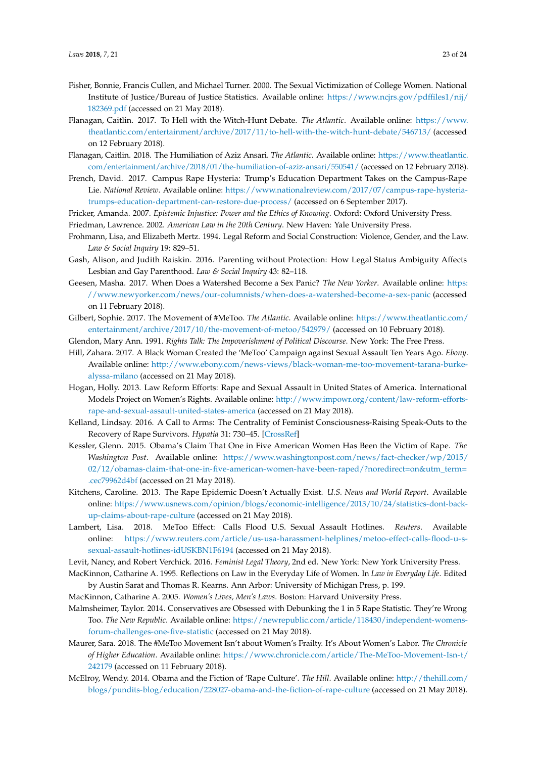- <span id="page-22-17"></span>Fisher, Bonnie, Francis Cullen, and Michael Turner. 2000. The Sexual Victimization of College Women. National Institute of Justice/Bureau of Justice Statistics. Available online: [https://www.ncjrs.gov/pdffiles1/nij/](https://www.ncjrs.gov/pdffiles1/nij/182369.pdf) [182369.pdf](https://www.ncjrs.gov/pdffiles1/nij/182369.pdf) (accessed on 21 May 2018).
- <span id="page-22-13"></span>Flanagan, Caitlin. 2017. To Hell with the Witch-Hunt Debate. *The Atlantic*. Available online: [https://www.](https://www.theatlantic.com/entertainment/archive/2017/11/to-hell-with-the-witch-hunt-debate/546713/) [theatlantic.com/entertainment/archive/2017/11/to-hell-with-the-witch-hunt-debate/546713/](https://www.theatlantic.com/entertainment/archive/2017/11/to-hell-with-the-witch-hunt-debate/546713/) (accessed on 12 February 2018).
- <span id="page-22-15"></span>Flanagan, Caitlin. 2018. The Humiliation of Aziz Ansari. *The Atlantic*. Available online: [https://www.theatlantic.](https://www.theatlantic.com/entertainment/archive/2018/01/the-humiliation-of-aziz-ansari/550541/) [com/entertainment/archive/2018/01/the-humiliation-of-aziz-ansari/550541/](https://www.theatlantic.com/entertainment/archive/2018/01/the-humiliation-of-aziz-ansari/550541/) (accessed on 12 February 2018).
- <span id="page-22-20"></span>French, David. 2017. Campus Rape Hysteria: Trump's Education Department Takes on the Campus-Rape Lie. *National Review*. Available online: [https://www.nationalreview.com/2017/07/campus-rape-hysteria](https://www.nationalreview.com/2017/07/campus-rape-hysteria-trumps-education-department-can-restore-due-process/)[trumps-education-department-can-restore-due-process/](https://www.nationalreview.com/2017/07/campus-rape-hysteria-trumps-education-department-can-restore-due-process/) (accessed on 6 September 2017).
- <span id="page-22-9"></span><span id="page-22-6"></span>Fricker, Amanda. 2007. *Epistemic Injustice: Power and the Ethics of Knowing*. Oxford: Oxford University Press.
- Friedman, Lawrence. 2002. *American Law in the 20th Century*. New Haven: Yale University Press.
- <span id="page-22-8"></span>Frohmann, Lisa, and Elizabeth Mertz. 1994. Legal Reform and Social Construction: Violence, Gender, and the Law. *Law & Social Inquiry* 19: 829–51.
- <span id="page-22-2"></span>Gash, Alison, and Judith Raiskin. 2016. Parenting without Protection: How Legal Status Ambiguity Affects Lesbian and Gay Parenthood. *Law & Social Inquiry* 43: 82–118.
- <span id="page-22-14"></span>Geesen, Masha. 2017. When Does a Watershed Become a Sex Panic? *The New Yorker*. Available online: [https:](https://www.newyorker.com/news/our-columnists/when-does-a-watershed-become-a-sex-panic) [//www.newyorker.com/news/our-columnists/when-does-a-watershed-become-a-sex-panic](https://www.newyorker.com/news/our-columnists/when-does-a-watershed-become-a-sex-panic) (accessed on 11 February 2018).
- <span id="page-22-11"></span>Gilbert, Sophie. 2017. The Movement of #MeToo. *The Atlantic*. Available online: [https://www.theatlantic.com/](https://www.theatlantic.com/entertainment/archive/2017/10/the-movement-of-metoo/542979/) [entertainment/archive/2017/10/the-movement-of-metoo/542979/](https://www.theatlantic.com/entertainment/archive/2017/10/the-movement-of-metoo/542979/) (accessed on 10 February 2018).
- <span id="page-22-22"></span>Glendon, Mary Ann. 1991. *Rights Talk: The Impoverishment of Political Discourse*. New York: The Free Press.
- <span id="page-22-0"></span>Hill, Zahara. 2017. A Black Woman Created the 'MeToo' Campaign against Sexual Assault Ten Years Ago. *Ebony*. Available online: [http://www.ebony.com/news-views/black-woman-me-too-movement-tarana-burke](http://www.ebony.com/news-views/black-woman-me-too-movement-tarana-burke-alyssa-milano)[alyssa-milano](http://www.ebony.com/news-views/black-woman-me-too-movement-tarana-burke-alyssa-milano) (accessed on 21 May 2018).
- <span id="page-22-5"></span>Hogan, Holly. 2013. Law Reform Efforts: Rape and Sexual Assault in United States of America. International Models Project on Women's Rights. Available online: [http://www.impowr.org/content/law-reform-efforts](http://www.impowr.org/content/law-reform-efforts-rape-and-sexual-assault-united-states-america)[rape-and-sexual-assault-united-states-america](http://www.impowr.org/content/law-reform-efforts-rape-and-sexual-assault-united-states-america) (accessed on 21 May 2018).
- <span id="page-22-10"></span>Kelland, Lindsay. 2016. A Call to Arms: The Centrality of Feminist Consciousness-Raising Speak-Outs to the Recovery of Rape Survivors. *Hypatia* 31: 730–45. [\[CrossRef\]](http://dx.doi.org/10.1111/hypa.12295)
- <span id="page-22-18"></span>Kessler, Glenn. 2015. Obama's Claim That One in Five American Women Has Been the Victim of Rape. *The Washington Post*. Available online: [https://www.washingtonpost.com/news/fact-checker/wp/2015/](https://www.washingtonpost.com/news/fact-checker/wp/2015/02/12/obamas-claim-that-one-in-five-american-women-have-been-raped/?noredirect=on&utm_term=.cec79962d4bf) [02/12/obamas-claim-that-one-in-five-american-women-have-been-raped/?noredirect=on&utm\\_term=](https://www.washingtonpost.com/news/fact-checker/wp/2015/02/12/obamas-claim-that-one-in-five-american-women-have-been-raped/?noredirect=on&utm_term=.cec79962d4bf) [.cec79962d4bf](https://www.washingtonpost.com/news/fact-checker/wp/2015/02/12/obamas-claim-that-one-in-five-american-women-have-been-raped/?noredirect=on&utm_term=.cec79962d4bf) (accessed on 21 May 2018).
- <span id="page-22-21"></span>Kitchens, Caroline. 2013. The Rape Epidemic Doesn't Actually Exist. *U.S. News and World Report*. Available online: [https://www.usnews.com/opinion/blogs/economic-intelligence/2013/10/24/statistics-dont-back](https://www.usnews.com/opinion/blogs/economic-intelligence/2013/10/24/statistics-dont-back-up-claims-about-rape-culture)[up-claims-about-rape-culture](https://www.usnews.com/opinion/blogs/economic-intelligence/2013/10/24/statistics-dont-back-up-claims-about-rape-culture) (accessed on 21 May 2018).
- <span id="page-22-1"></span>Lambert, Lisa. 2018. MeToo Effect: Calls Flood U.S. Sexual Assault Hotlines. *Reuters*. Available online: [https://www.reuters.com/article/us-usa-harassment-helplines/metoo-effect-calls-flood-u-s](https://www.reuters.com/article/us-usa-harassment-helplines/metoo-effect-calls-flood-u-s-sexual-assault-hotlines-idUSKBN1F6194)[sexual-assault-hotlines-idUSKBN1F6194](https://www.reuters.com/article/us-usa-harassment-helplines/metoo-effect-calls-flood-u-s-sexual-assault-hotlines-idUSKBN1F6194) (accessed on 21 May 2018).
- <span id="page-22-7"></span>Levit, Nancy, and Robert Verchick. 2016. *Feminist Legal Theory*, 2nd ed. New York: New York University Press.
- <span id="page-22-4"></span>MacKinnon, Catharine A. 1995. Reflections on Law in the Everyday Life of Women. In *Law in Everyday Life*. Edited by Austin Sarat and Thomas R. Kearns. Ann Arbor: University of Michigan Press, p. 199.
- <span id="page-22-3"></span>MacKinnon, Catharine A. 2005. *Women's Lives, Men's Laws*. Boston: Harvard University Press.
- <span id="page-22-16"></span>Malmsheimer, Taylor. 2014. Conservatives are Obsessed with Debunking the 1 in 5 Rape Statistic. They're Wrong Too. *The New Republic*. Available online: [https://newrepublic.com/article/118430/independent-womens](https://newrepublic.com/article/118430/independent-womens-forum-challenges-one-five-statistic)[forum-challenges-one-five-statistic](https://newrepublic.com/article/118430/independent-womens-forum-challenges-one-five-statistic) (accessed on 21 May 2018).
- <span id="page-22-12"></span>Maurer, Sara. 2018. The #MeToo Movement Isn't about Women's Frailty. It's About Women's Labor. *The Chronicle of Higher Education*. Available online: [https://www.chronicle.com/article/The-MeToo-Movement-Isn-t/](https://www.chronicle.com/article/The-MeToo-Movement-Isn-t/242179) [242179](https://www.chronicle.com/article/The-MeToo-Movement-Isn-t/242179) (accessed on 11 February 2018).
- <span id="page-22-19"></span>McElroy, Wendy. 2014. Obama and the Fiction of 'Rape Culture'. *The Hill*. Available online: [http://thehill.com/](http://thehill.com/blogs/pundits-blog/education/228027-obama-and-the-fiction-of-rape-culture) [blogs/pundits-blog/education/228027-obama-and-the-fiction-of-rape-culture](http://thehill.com/blogs/pundits-blog/education/228027-obama-and-the-fiction-of-rape-culture) (accessed on 21 May 2018).